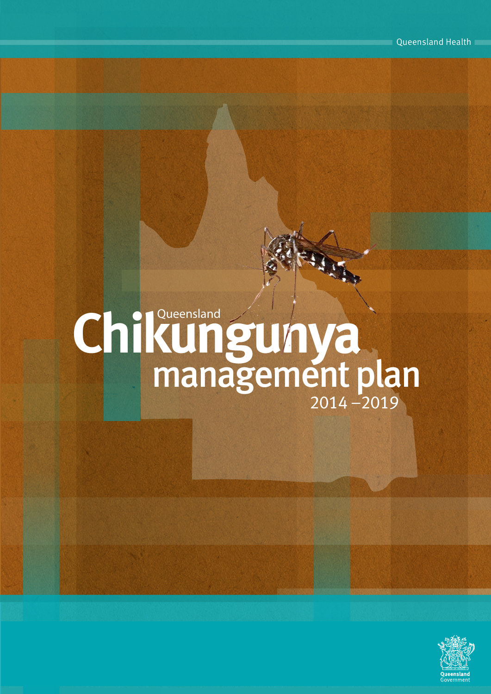# **Queensland Chikungunya** management plan

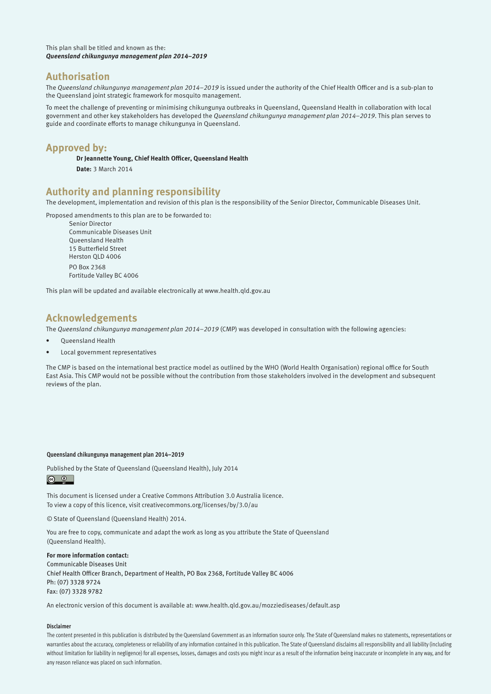This plan shall be titled and known as the: **Queensland chikungunya management plan 2014–2019** 

#### **Authorisation**

The *Queensland chikungunya management plan 2014–2019* is issued under the authority of the Chief Health Officer and is a sub-plan to the Queensland joint strategic framework for mosquito management.

To meet the challenge of preventing or minimising chikungunya outbreaks in Queensland, Queensland Health in collaboration with local government and other key stakeholders has developed the Queensland chikungunya management plan 2014–2019. This plan serves to guide and coordinate efforts to manage chikungunya in Queensland.

#### **Approved by:**

**Dr Jeannette Young, Chief Health Officer, Queensland Health**

**Date:** 3 March 2014

#### **Authority and planning responsibility**

The development, implementation and revision of this plan is the responsibility of the Senior Director, Communicable Diseases Unit.

Proposed amendments to this plan are to be forwarded to:

Senior Director Communicable Diseases Unit Queensland Health 15 Butterfield Street Herston QLD 4006 PO Box 2368 Fortitude Valley BC 4006

This plan will be updated and available electronically at www.health.qld.gov.au

#### **Acknowledgements**

The Queensland chikungunya management plan 2014–2019 (CMP) was developed in consultation with the following agencies:

- **Oueensland Health**
- Local government representatives

The CMP is based on the international best practice model as outlined by the WHO (World Health Organisation) regional office for South East Asia. This CMP would not be possible without the contribution from those stakeholders involved in the development and subsequent reviews of the plan.

#### **Queensland chikungunya management plan 2014–2019**

Published by the State of Queensland (Queensland Health), July 2014  $\odot$   $\odot$  $\overline{\phantom{a}}$ 

This document is licensed under a Creative Commons Attribution 3.0 Australia licence. To view a copy of this licence, visit creativecommons.org/licenses/by/3.0/au

© State of Queensland (Queensland Health) 2014.

You are free to copy, communicate and adapt the work as long as you attribute the State of Queensland (Queensland Health).

#### **For more information contact:**

Communicable Diseases Unit Chief Health Officer Branch, Department of Health, PO Box 2368, Fortitude Valley BC 4006 Ph: (07) 3328 9724 Fax: (07) 3328 9782

An electronic version of this document is available at: www.health.qld.gov.au/mozziediseases/default.asp

#### **Disclaimer**

The content presented in this publication is distributed by the Queensland Government as an information source only. The State of Queensland makes no statements, representations or warranties about the accuracy, completeness or reliability of any information contained in this publication. The State of Queensland disclaims all responsibility and all liability (including without limitation for liability in negligence) for all expenses, losses, damages and costs you might incur as a result of the information being inaccurate or incomplete in any way, and for any reason reliance was placed on such information.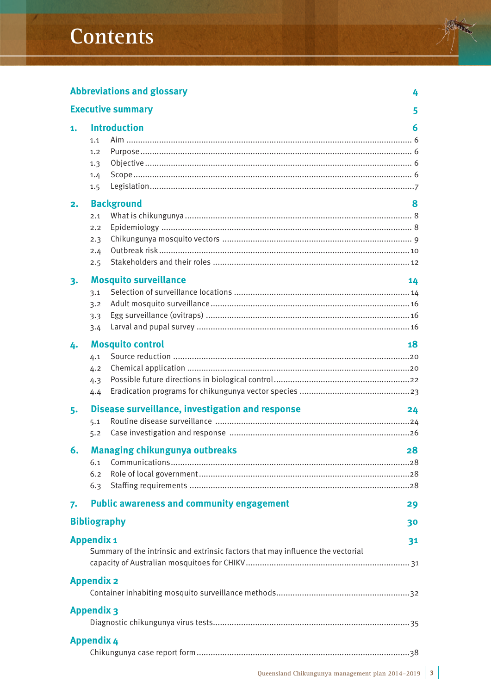# **Contents**

# **Abbreviations and glossary 4**

|                   |                   | <b>Executive summary</b>                                                        | 5  |  |
|-------------------|-------------------|---------------------------------------------------------------------------------|----|--|
| 1.                |                   | <b>Introduction</b>                                                             | 6  |  |
|                   | 1.1               |                                                                                 |    |  |
|                   | 1.2               |                                                                                 |    |  |
|                   | 1.3               |                                                                                 |    |  |
|                   | 1.4               |                                                                                 |    |  |
|                   | 1.5               |                                                                                 |    |  |
| 2.                |                   | <b>Background</b>                                                               | 8  |  |
|                   | 2.1               |                                                                                 |    |  |
|                   | 2.2               |                                                                                 |    |  |
|                   | 2.3               |                                                                                 |    |  |
|                   | 2.4               |                                                                                 |    |  |
|                   | 2.5               |                                                                                 |    |  |
| 3.                |                   | <b>Mosquito surveillance</b>                                                    | 14 |  |
|                   | 3.1               |                                                                                 |    |  |
|                   | 3.2               |                                                                                 |    |  |
|                   | 3.3               |                                                                                 |    |  |
|                   | 3.4               |                                                                                 |    |  |
| 4.                |                   | <b>Mosquito control</b>                                                         | 18 |  |
|                   | 4.1               |                                                                                 |    |  |
|                   | 4.2               |                                                                                 |    |  |
|                   | 4.3               |                                                                                 |    |  |
|                   | 4.4               |                                                                                 |    |  |
| 5.                |                   | Disease surveillance, investigation and response                                | 24 |  |
|                   | 5.1               |                                                                                 |    |  |
|                   | 5.2               |                                                                                 |    |  |
| 6.                |                   | <b>Managing chikungunya outbreaks</b>                                           | 28 |  |
|                   | 6.1               |                                                                                 |    |  |
|                   | 6.2               |                                                                                 |    |  |
|                   | 6.3               |                                                                                 |    |  |
| 7.                |                   | <b>Public awareness and community engagement</b>                                | 29 |  |
|                   |                   | <b>Bibliography</b>                                                             | 30 |  |
|                   | <b>Appendix 1</b> |                                                                                 | 31 |  |
|                   |                   | Summary of the intrinsic and extrinsic factors that may influence the vectorial |    |  |
|                   |                   |                                                                                 |    |  |
| <b>Appendix 2</b> |                   |                                                                                 |    |  |
|                   |                   |                                                                                 |    |  |
| <b>Appendix 3</b> |                   |                                                                                 |    |  |
|                   |                   |                                                                                 |    |  |
| <b>Appendix 4</b> |                   |                                                                                 |    |  |
|                   |                   |                                                                                 |    |  |
|                   |                   |                                                                                 |    |  |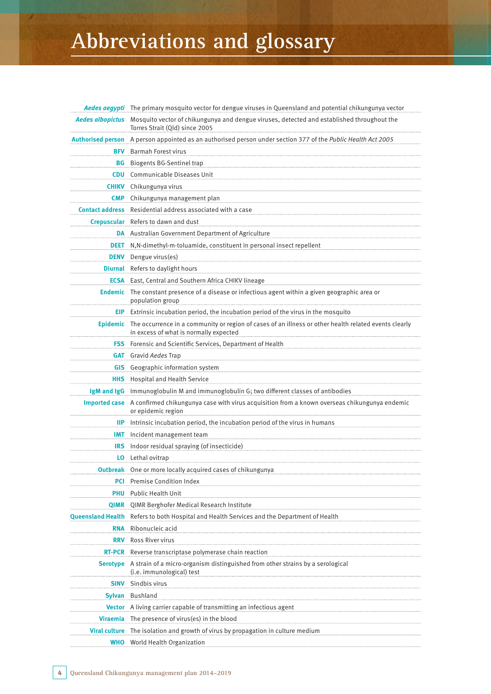# **Abbreviations and glossary**

|                          | Aedes aegypti The primary mosquito vector for dengue viruses in Queensland and potential chikungunya vector                                              |
|--------------------------|----------------------------------------------------------------------------------------------------------------------------------------------------------|
| <b>Aedes albopictus</b>  | Mosquito vector of chikungunya and dengue viruses, detected and established throughout the<br>Torres Strait (Qld) since 2005                             |
| <b>Authorised person</b> | A person appointed as an authorised person under section 377 of the Public Health Act 2005                                                               |
| <b>BFV</b>               | <b>Barmah Forest virus</b>                                                                                                                               |
| BG                       | <b>Biogents BG-Sentinel trap</b>                                                                                                                         |
| <b>CDU</b>               | Communicable Diseases Unit                                                                                                                               |
| <b>CHIKV</b>             | Chikungunya virus                                                                                                                                        |
| <b>CMP</b>               | Chikungunya management plan                                                                                                                              |
|                          | <b>Contact address</b> Residential address associated with a case                                                                                        |
|                          | Crepuscular Refers to dawn and dust                                                                                                                      |
|                          | DA Australian Government Department of Agriculture                                                                                                       |
| DEET                     | N,N-dimethyl-m-toluamide, constituent in personal insect repellent                                                                                       |
| <b>DENV</b>              | Dengue virus(es)                                                                                                                                         |
|                          | <b>Diurnal</b> Refers to daylight hours                                                                                                                  |
|                          | <b>ECSA</b> East, Central and Southern Africa CHIKV lineage                                                                                              |
|                          | Endemic The constant presence of a disease or infectious agent within a given geographic area or<br>population group                                     |
| EIP.                     | Extrinsic incubation period, the incubation period of the virus in the mosquito                                                                          |
|                          | Epidemic The occurrence in a community or region of cases of an illness or other health related events clearly<br>in excess of what is normally expected |
| <b>FSS</b>               | Forensic and Scientific Services, Department of Health                                                                                                   |
| <b>GAT</b>               | Gravid Aedes Trap                                                                                                                                        |
| <b>GIS</b>               | Geographic information system                                                                                                                            |
| <b>HHS</b>               | Hospital and Health Service                                                                                                                              |
| IgM and IgG              | Immunoglobulin M and immunoglobulin G; two different classes of antibodies                                                                               |
|                          | Imported case A confirmed chikungunya case with virus acquisition from a known overseas chikungunya endemic<br>or epidemic region                        |
| IIP.                     | Intrinsic incubation period, the incubation period of the virus in humans                                                                                |
| <b>IMT</b>               | Incident management team                                                                                                                                 |
| <b>IRS</b>               | Indoor residual spraying (of insecticide)                                                                                                                |
|                          | <b>LO</b> Lethal ovitrap                                                                                                                                 |
|                          | <b>Outbreak</b> One or more locally acquired cases of chikungunya                                                                                        |
| PCI                      | <b>Premise Condition Index</b>                                                                                                                           |
| <b>PHU</b>               | Public Health Unit                                                                                                                                       |
| <b>QIMR</b>              | QIMR Berghofer Medical Research Institute                                                                                                                |
|                          | Queensland Health Refers to both Hospital and Health Services and the Department of Health                                                               |
| <b>RNA</b>               | Ribonucleic acid                                                                                                                                         |
| <b>RRV</b>               | Ross River virus                                                                                                                                         |
| <b>RT-PCR</b>            | Reverse transcriptase polymerase chain reaction                                                                                                          |
|                          | Serotype A strain of a micro-organism distinguished from other strains by a serological<br>(i.e. immunological) test                                     |
| <b>SINV</b>              | Sindbis virus                                                                                                                                            |
|                          | Sylvan Bushland                                                                                                                                          |
|                          | Vector A living carrier capable of transmitting an infectious agent                                                                                      |
| <b>Viraemia</b>          | The presence of virus(es) in the blood                                                                                                                   |
| <b>Viral culture</b>     | The isolation and growth of virus by propagation in culture medium                                                                                       |
| WHO                      | World Health Organization                                                                                                                                |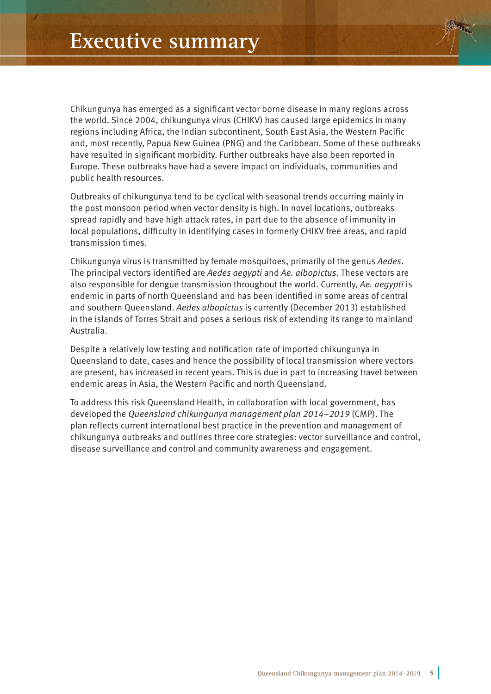Chikungunya has emerged as a significant vector borne disease in many regions across the world. Since 2004, chikungunya virus (CHIKV) has caused large epidemics in many regions including Africa, the Indian subcontinent, South East Asia, the Western Pacific and, most recently, Papua New Guinea (PNG) and the Caribbean. Some of these outbreaks have resulted in significant morbidity. Further outbreaks have also been reported in Europe. These outbreaks have had a severe impact on individuals, communities and public health resources.

Outbreaks of chikungunya tend to be cyclical with seasonal trends occurring mainly in the post monsoon period when vector density is high. In novel locations, outbreaks spread rapidly and have high attack rates, in part due to the absence of immunity in local populations, difficulty in identifying cases in formerly CHIKV free areas, and rapid transmission times.

Chikungunya virus is transmitted by female mosquitoes, primarily of the genus Aedes. The principal vectors identified are Aedes aegypti and Ae. albopictus. These vectors are also responsible for dengue transmission throughout the world. Currently, Ae, aeavpti is endemic in parts of north Queensland and has been identified in some areas of central and southern Queensland. Aedes albopictus is currently (December 2013) established in the islands of Torres Strait and poses a serious risk of extending its range to mainland Australia.

Despite a relatively low testing and notification rate of imported chikungunya in Queensland to date, cases and hence the possibility of local transmission where vectors are present, has increased in recent years. This is due in part to increasing travel between endemic areas in Asia, the Western Pacific and north Queensland.

To address this risk Queensland Health, in collaboration with local government, has developed the Queensland chikungunya management plan 2014–2019 (CMP). The plan reflects current international best practice in the prevention and management of chikungunya outbreaks and outlines three core strategies: vector surveillance and control, disease surveillance and control and community awareness and engagement.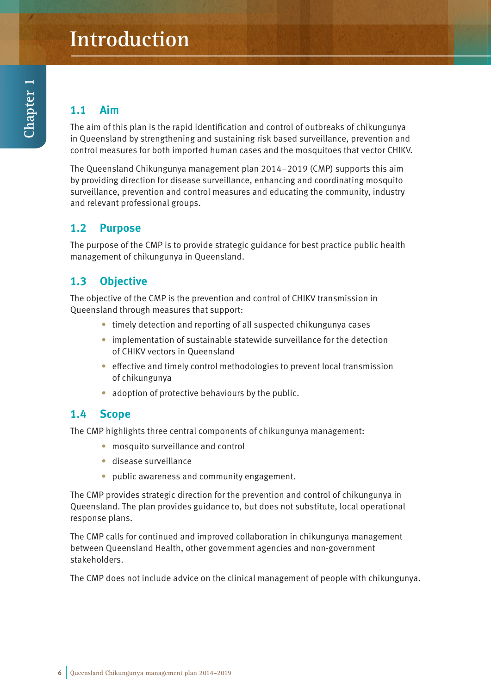# **Introduction**

# **1.1 Aim**

The aim of this plan is the rapid identification and control of outbreaks of chikungunya in Queensland by strengthening and sustaining risk based surveillance, prevention and control measures for both imported human cases and the mosquitoes that vector CHIKV.

The Queensland Chikungunya management plan 2014–2019 (CMP) supports this aim by providing direction for disease surveillance, enhancing and coordinating mosquito surveillance, prevention and control measures and educating the community, industry and relevant professional groups.

# **1.2 Purpose**

The purpose of the CMP is to provide strategic guidance for best practice public health management of chikungunya in Queensland.

# **1.3 Objective**

The objective of the CMP is the prevention and control of CHIKV transmission in Queensland through measures that support:

- timely detection and reporting of all suspected chikungunya cases
- implementation of sustainable statewide surveillance for the detection of CHIKV vectors in Queensland
- effective and timely control methodologies to prevent local transmission of chikungunya
- adoption of protective behaviours by the public.

# **1.4 Scope**

The CMP highlights three central components of chikungunya management:

- mosquito surveillance and control
- • disease surveillance
- public awareness and community engagement.

The CMP provides strategic direction for the prevention and control of chikungunya in Queensland. The plan provides guidance to, but does not substitute, local operational response plans.

The CMP calls for continued and improved collaboration in chikungunya management between Queensland Health, other government agencies and non-government stakeholders.

The CMP does not include advice on the clinical management of people with chikungunya.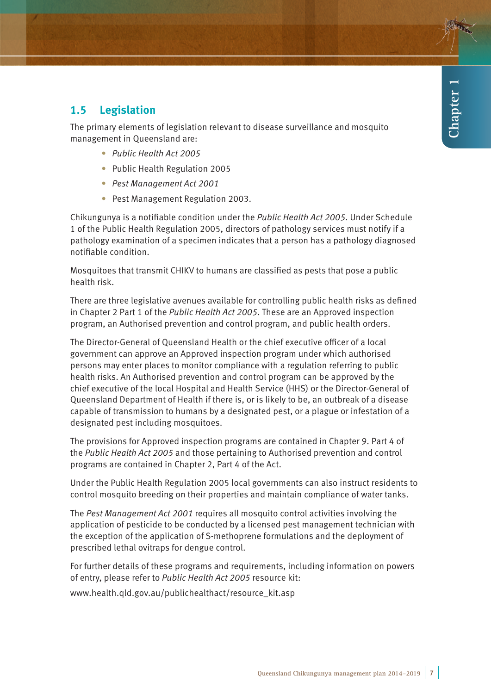# **1.5 Legislation**

The primary elements of legislation relevant to disease surveillance and mosquito management in Queensland are:

- Public Health Act 2005
- Public Health Regulation 2005
- Pest Management Act 2001
- Pest Management Regulation 2003.

Chikungunya is a notifiable condition under the Public Health Act 2005. Under Schedule 1 of the Public Health Regulation 2005, directors of pathology services must notify if a pathology examination of a specimen indicates that a person has a pathology diagnosed notifiable condition.

Mosquitoes that transmit CHIKV to humans are classified as pests that pose a public health risk.

There are three legislative avenues available for controlling public health risks as defined in Chapter 2 Part 1 of the *Public Health Act 2005*. These are an Approved inspection program, an Authorised prevention and control program, and public health orders.

The Director-General of Queensland Health or the chief executive officer of a local government can approve an Approved inspection program under which authorised persons may enter places to monitor compliance with a regulation referring to public health risks. An Authorised prevention and control program can be approved by the chief executive of the local Hospital and Health Service (HHS) or the Director-General of Queensland Department of Health if there is, or is likely to be, an outbreak of a disease capable of transmission to humans by a designated pest, or a plague or infestation of a designated pest including mosquitoes.

The provisions for Approved inspection programs are contained in Chapter 9. Part 4 of the Public Health Act 2005 and those pertaining to Authorised prevention and control programs are contained in Chapter 2, Part 4 of the Act.

Under the Public Health Regulation 2005 local governments can also instruct residents to control mosquito breeding on their properties and maintain compliance of water tanks.

The Pest Management Act 2001 requires all mosquito control activities involving the application of pesticide to be conducted by a licensed pest management technician with the exception of the application of S-methoprene formulations and the deployment of prescribed lethal ovitraps for dengue control.

For further details of these programs and requirements, including information on powers of entry, please refer to Public Health Act 2005 resource kit:

www.health.qld.gov.au/publichealthact/resource\_kit.asp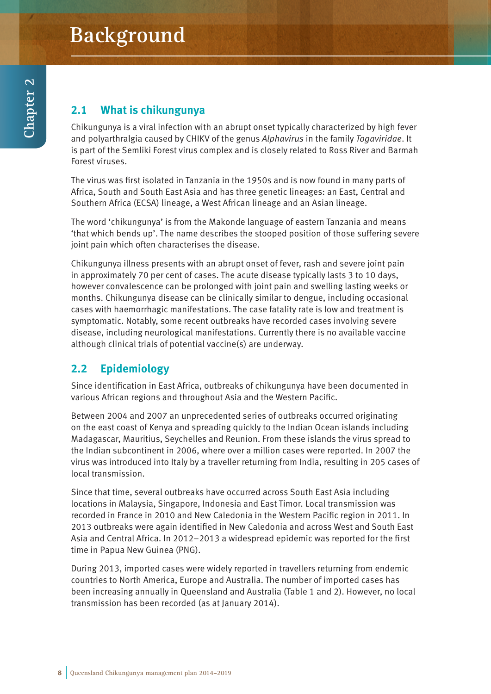# **Background**

# **2.1 What is chikungunya**

Chikungunya is a viral infection with an abrupt onset typically characterized by high fever and polyarthralgia caused by CHIKV of the genus Alphavirus in the family Togaviridae. It is part of the Semliki Forest virus complex and is closely related to Ross River and Barmah Forest viruses.

The virus was first isolated in Tanzania in the 1950s and is now found in many parts of Africa, South and South East Asia and has three genetic lineages: an East, Central and Southern Africa (ECSA) lineage, a West African lineage and an Asian lineage.

The word 'chikungunya' is from the Makonde language of eastern Tanzania and means 'that which bends up'. The name describes the stooped position of those suffering severe joint pain which often characterises the disease.

Chikungunya illness presents with an abrupt onset of fever, rash and severe joint pain in approximately 70 per cent of cases. The acute disease typically lasts 3 to 10 days, however convalescence can be prolonged with joint pain and swelling lasting weeks or months. Chikungunya disease can be clinically similar to dengue, including occasional cases with haemorrhagic manifestations. The case fatality rate is low and treatment is symptomatic. Notably, some recent outbreaks have recorded cases involving severe disease, including neurological manifestations. Currently there is no available vaccine although clinical trials of potential vaccine(s) are underway.

# **2.2 Epidemiology**

Since identification in East Africa, outbreaks of chikungunya have been documented in various African regions and throughout Asia and the Western Pacific.

Between 2004 and 2007 an unprecedented series of outbreaks occurred originating on the east coast of Kenya and spreading quickly to the Indian Ocean islands including Madagascar, Mauritius, Seychelles and Reunion. From these islands the virus spread to the Indian subcontinent in 2006, where over a million cases were reported. In 2007 the virus was introduced into Italy by a traveller returning from India, resulting in 205 cases of local transmission.

Since that time, several outbreaks have occurred across South East Asia including locations in Malaysia, Singapore, Indonesia and East Timor. Local transmission was recorded in France in 2010 and New Caledonia in the Western Pacific region in 2011. In 2013 outbreaks were again identified in New Caledonia and across West and South East Asia and Central Africa. In 2012–2013 a widespread epidemic was reported for the first time in Papua New Guinea (PNG).

During 2013, imported cases were widely reported in travellers returning from endemic countries to North America, Europe and Australia. The number of imported cases has been increasing annually in Queensland and Australia (Table 1 and 2). However, no local transmission has been recorded (as at January 2014).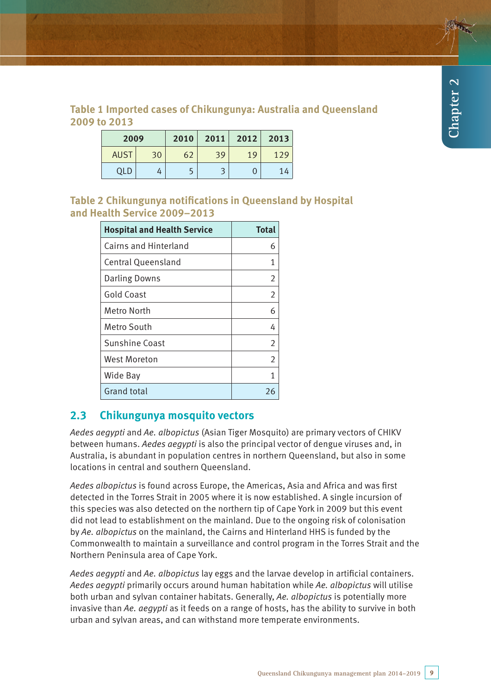## **Table 1 Imported cases of Chikungunya: Australia and Queensland 2009 to 2013**

| 2009        |    | 2010 | 2011 | 2012 | 2013 |
|-------------|----|------|------|------|------|
| <b>AUST</b> | 30 | 62   | 39   | 19   | 129  |
| OLD         |    |      |      |      |      |

**Table 2 Chikungunya notifications in Queensland by Hospital and Health Service 2009–2013**

| <b>Hospital and Health Service</b> | <b>Total</b>   |
|------------------------------------|----------------|
| Cairns and Hinterland              | 6              |
| <b>Central Queensland</b>          | 1              |
| <b>Darling Downs</b>               | $\overline{2}$ |
| <b>Gold Coast</b>                  | $\overline{2}$ |
| Metro North                        | 6              |
| Metro South                        | 4              |
| <b>Sunshine Coast</b>              | $\overline{2}$ |
| <b>West Moreton</b>                | $\overline{2}$ |
| Wide Bay                           | 1              |
| <b>Grand total</b>                 | 26             |

# **2.3 Chikungunya mosquito vectors**

Aedes aegypti and Ae. albopictus (Asian Tiger Mosquito) are primary vectors of CHIKV between humans. Aedes aegypti is also the principal vector of dengue viruses and, in Australia, is abundant in population centres in northern Queensland, but also in some locations in central and southern Queensland.

Aedes albopictus is found across Europe, the Americas, Asia and Africa and was first detected in the Torres Strait in 2005 where it is now established. A single incursion of this species was also detected on the northern tip of Cape York in 2009 but this event did not lead to establishment on the mainland. Due to the ongoing risk of colonisation by Ae. albopictus on the mainland, the Cairns and Hinterland HHS is funded by the Commonwealth to maintain a surveillance and control program in the Torres Strait and the Northern Peninsula area of Cape York.

Aedes aegypti and Ae. albopictus lay eggs and the larvae develop in artificial containers. Aedes aegypti primarily occurs around human habitation while Ae. albopictus will utilise both urban and sylvan container habitats. Generally, Ae. albopictus is potentially more invasive than Ae. aegypti as it feeds on a range of hosts, has the ability to survive in both urban and sylvan areas, and can withstand more temperate environments.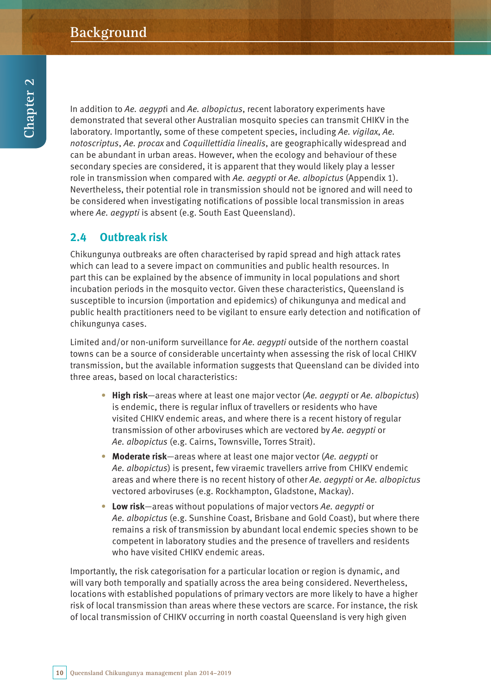In addition to Ae. aegypti and Ae. albopictus, recent laboratory experiments have demonstrated that several other Australian mosquito species can transmit CHIKV in the laboratory. Importantly, some of these competent species, including Ae. vigilax, Ae. notoscriptus, Ae. procax and Coquillettidia linealis, are geographically widespread and can be abundant in urban areas. However, when the ecology and behaviour of these secondary species are considered, it is apparent that they would likely play a lesser role in transmission when compared with Ae. aegypti or Ae. albopictus (Appendix 1). Nevertheless, their potential role in transmission should not be ignored and will need to be considered when investigating notifications of possible local transmission in areas where Ae. aegypti is absent (e.g. South East Queensland).

# **2.4 Outbreak risk**

Chikungunya outbreaks are often characterised by rapid spread and high attack rates which can lead to a severe impact on communities and public health resources. In part this can be explained by the absence of immunity in local populations and short incubation periods in the mosquito vector. Given these characteristics, Queensland is susceptible to incursion (importation and epidemics) of chikungunya and medical and public health practitioners need to be vigilant to ensure early detection and notification of chikungunya cases.

Limited and/or non-uniform surveillance for Ae. aegypti outside of the northern coastal towns can be a source of considerable uncertainty when assessing the risk of local CHIKV transmission, but the available information suggests that Queensland can be divided into three areas, based on local characteristics:

- **High risk**—areas where at least one major vector (Ae. aegypti or Ae. albopictus) is endemic, there is regular influx of travellers or residents who have visited CHIKV endemic areas, and where there is a recent history of regular transmission of other arboviruses which are vectored by Ae. aegypti or Ae. albopictus (e.g. Cairns, Townsville, Torres Strait).
- **• Moderate risk**—areas where at least one major vector (Ae. aegypti or Ae. albopictus) is present, few viraemic travellers arrive from CHIKV endemic areas and where there is no recent history of other Ae. aegypti or Ae. albopictus vectored arboviruses (e.g. Rockhampton, Gladstone, Mackay).
- **• Low risk**—areas without populations of major vectors Ae. aegypti or Ae. albopictus (e.g. Sunshine Coast, Brisbane and Gold Coast), but where there remains a risk of transmission by abundant local endemic species shown to be competent in laboratory studies and the presence of travellers and residents who have visited CHIKV endemic areas.

Importantly, the risk categorisation for a particular location or region is dynamic, and will vary both temporally and spatially across the area being considered. Nevertheless, locations with established populations of primary vectors are more likely to have a higher risk of local transmission than areas where these vectors are scarce. For instance, the risk of local transmission of CHIKV occurring in north coastal Queensland is very high given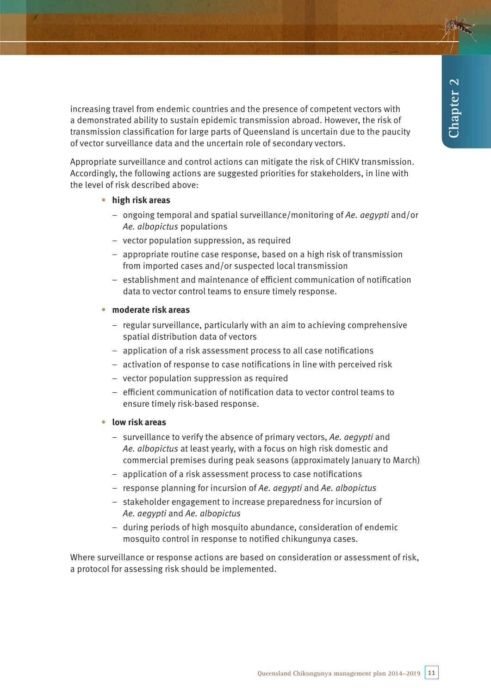increasing travel from endemic countries and the presence of competent vectors with a demonstrated ability to sustain epidemic transmission abroad. However, the risk of transmission classification for large parts of Queensland is uncertain due to the paucity of vector surveillance data and the uncertain role of secondary vectors.

Appropriate surveillance and control actions can mitigate the risk of CHIKV transmission. Accordingly, the following actions are suggested priorities for stakeholders, in line with the level of risk described above:

#### **• high risk areas**

- − ongoing temporal and spatial surveillance/monitoring of Ae. aegypti and/or Ae. albopictus populations
- − vector population suppression, as required
- − appropriate routine case response, based on a high risk of transmission from imported cases and/or suspected local transmission
- − establishment and maintenance of efficient communication of notification data to vector control teams to ensure timely response.

#### **• moderate risk areas**

- − regular surveillance, particularly with an aim to achieving comprehensive spatial distribution data of vectors
- − application of a risk assessment process to all case notifications
- − activation of response to case notifications in line with perceived risk
- − vector population suppression as required
- − efficient communication of notification data to vector control teams to ensure timely risk-based response.

#### **• low risk areas**

- − surveillance to verify the absence of primary vectors, Ae. aegypti and Ae. albopictus at least yearly, with a focus on high risk domestic and commercial premises during peak seasons (approximately January to March)
- − application of a risk assessment process to case notifications
- − response planning for incursion of Ae. aegypti and Ae. albopictus
- − stakeholder engagement to increase preparedness for incursion of Ae. aegypti and Ae. albopictus
- − during periods of high mosquito abundance, consideration of endemic mosquito control in response to notified chikungunya cases.

Where surveillance or response actions are based on consideration or assessment of risk, a protocol for assessing risk should be implemented.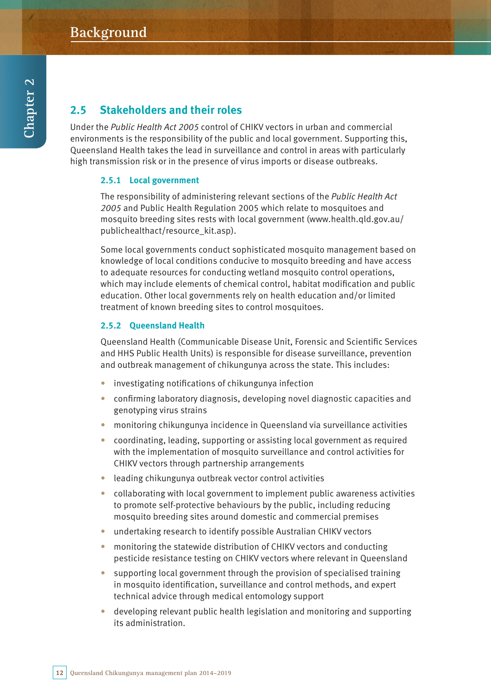# **2.5 Stakeholders and their roles**

Under the Public Health Act 2005 control of CHIKV vectors in urban and commercial environments is the responsibility of the public and local government. Supporting this, Queensland Health takes the lead in surveillance and control in areas with particularly high transmission risk or in the presence of virus imports or disease outbreaks.

#### **2.5.1 Local government**

The responsibility of administering relevant sections of the Public Health Act 2005 and Public Health Regulation 2005 which relate to mosquitoes and mosquito breeding sites rests with local government (www.health.qld.gov.au/ publichealthact/resource\_kit.asp).

Some local governments conduct sophisticated mosquito management based on knowledge of local conditions conducive to mosquito breeding and have access to adequate resources for conducting wetland mosquito control operations, which may include elements of chemical control, habitat modification and public education. Other local governments rely on health education and/or limited treatment of known breeding sites to control mosquitoes.

#### **2.5.2 Queensland Health**

Queensland Health (Communicable Disease Unit, Forensic and Scientific Services and HHS Public Health Units) is responsible for disease surveillance, prevention and outbreak management of chikungunya across the state. This includes:

- investigating notifications of chikungunya infection
- confirming laboratory diagnosis, developing novel diagnostic capacities and genotyping virus strains
- monitoring chikungunya incidence in Queensland via surveillance activities
- coordinating, leading, supporting or assisting local government as required with the implementation of mosquito surveillance and control activities for CHIKV vectors through partnership arrangements
- leading chikungunya outbreak vector control activities
- collaborating with local government to implement public awareness activities to promote self-protective behaviours by the public, including reducing mosquito breeding sites around domestic and commercial premises
- undertaking research to identify possible Australian CHIKV vectors
- monitoring the statewide distribution of CHIKV vectors and conducting pesticide resistance testing on CHIKV vectors where relevant in Queensland
- supporting local government through the provision of specialised training in mosquito identification, surveillance and control methods, and expert technical advice through medical entomology support
- developing relevant public health legislation and monitoring and supporting its administration.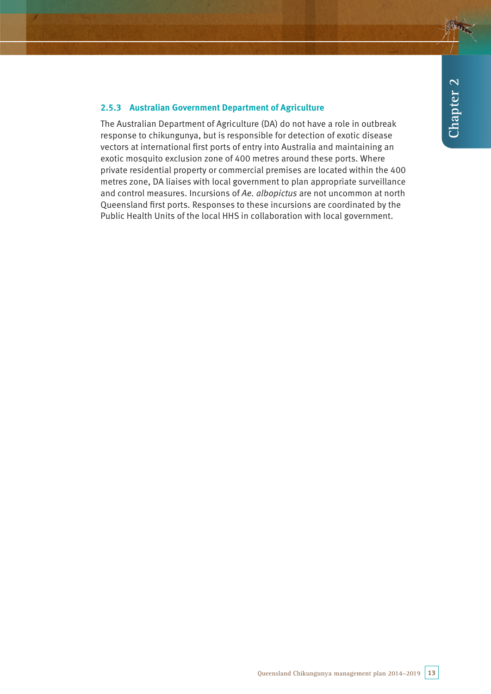#### **2.5.3 Australian Government Department of Agriculture**

The Australian Department of Agriculture (DA) do not have a role in outbreak response to chikungunya, but is responsible for detection of exotic disease vectors at international first ports of entry into Australia and maintaining an exotic mosquito exclusion zone of 400 metres around these ports. Where private residential property or commercial premises are located within the 400 metres zone, DA liaises with local government to plan appropriate surveillance and control measures. Incursions of Ae. albopictus are not uncommon at north Queensland first ports. Responses to these incursions are coordinated by the Public Health Units of the local HHS in collaboration with local government.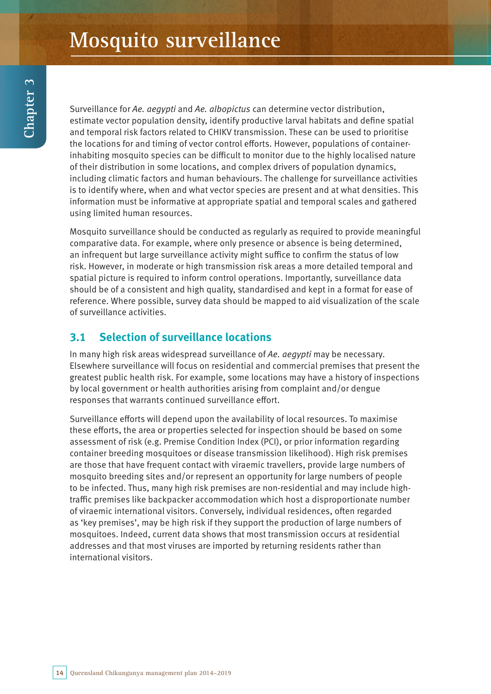Surveillance for Ae. aegypti and Ae. albopictus can determine vector distribution, estimate vector population density, identify productive larval habitats and define spatial and temporal risk factors related to CHIKV transmission. These can be used to prioritise the locations for and timing of vector control efforts. However, populations of containerinhabiting mosquito species can be difficult to monitor due to the highly localised nature of their distribution in some locations, and complex drivers of population dynamics, including climatic factors and human behaviours. The challenge for surveillance activities is to identify where, when and what vector species are present and at what densities. This information must be informative at appropriate spatial and temporal scales and gathered using limited human resources.

Mosquito surveillance should be conducted as regularly as required to provide meaningful comparative data. For example, where only presence or absence is being determined, an infrequent but large surveillance activity might suffice to confirm the status of low risk. However, in moderate or high transmission risk areas a more detailed temporal and spatial picture is required to inform control operations. Importantly, surveillance data should be of a consistent and high quality, standardised and kept in a format for ease of reference. Where possible, survey data should be mapped to aid visualization of the scale of surveillance activities.

# **3.1 Selection of surveillance locations**

In many high risk areas widespread surveillance of Ae. aegypti may be necessary. Elsewhere surveillance will focus on residential and commercial premises that present the greatest public health risk. For example, some locations may have a history of inspections by local government or health authorities arising from complaint and/or dengue responses that warrants continued surveillance effort.

Surveillance efforts will depend upon the availability of local resources. To maximise these efforts, the area or properties selected for inspection should be based on some assessment of risk (e.g. Premise Condition Index (PCI), or prior information regarding container breeding mosquitoes or disease transmission likelihood). High risk premises are those that have frequent contact with viraemic travellers, provide large numbers of mosquito breeding sites and/or represent an opportunity for large numbers of people to be infected. Thus, many high risk premises are non-residential and may include hightraffic premises like backpacker accommodation which host a disproportionate number of viraemic international visitors. Conversely, individual residences, often regarded as 'key premises', may be high risk if they support the production of large numbers of mosquitoes. Indeed, current data shows that most transmission occurs at residential addresses and that most viruses are imported by returning residents rather than international visitors.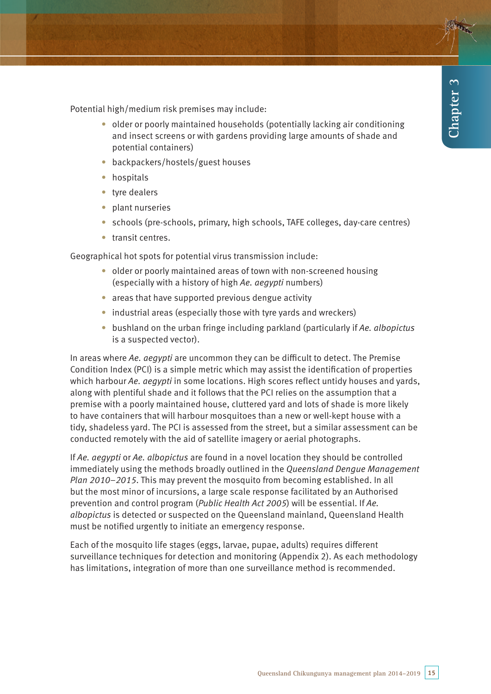Potential high/medium risk premises may include:

- older or poorly maintained households (potentially lacking air conditioning and insect screens or with gardens providing large amounts of shade and potential containers)
- backpackers/hostels/guest houses
- hospitals
- tyre dealers
- plant nurseries
- schools (pre-schools, primary, high schools, TAFE colleges, day-care centres)
- transit centres.

Geographical hot spots for potential virus transmission include:

- older or poorly maintained areas of town with non-screened housing (especially with a history of high Ae. aegypti numbers)
- areas that have supported previous dengue activity
- $\bullet$  industrial areas (especially those with tyre yards and wreckers)
- bushland on the urban fringe including parkland (particularly if Ae. albopictus is a suspected vector).

In areas where  $Ae$ , aegypti are uncommon they can be difficult to detect. The Premise Condition Index (PCI) is a simple metric which may assist the identification of properties which harbour Ae. aegypti in some locations. High scores reflect untidy houses and yards, along with plentiful shade and it follows that the PCI relies on the assumption that a premise with a poorly maintained house, cluttered yard and lots of shade is more likely to have containers that will harbour mosquitoes than a new or well-kept house with a tidy, shadeless yard. The PCI is assessed from the street, but a similar assessment can be conducted remotely with the aid of satellite imagery or aerial photographs.

If Ae. aegypti or Ae. albopictus are found in a novel location they should be controlled immediately using the methods broadly outlined in the Queensland Dengue Management Plan 2010–2015. This may prevent the mosquito from becoming established. In all but the most minor of incursions, a large scale response facilitated by an Authorised prevention and control program (Public Health Act 2005) will be essential. If Ae. albopictus is detected or suspected on the Queensland mainland, Queensland Health must be notified urgently to initiate an emergency response.

Each of the mosquito life stages (eggs, larvae, pupae, adults) requires different surveillance techniques for detection and monitoring (Appendix 2). As each methodology has limitations, integration of more than one surveillance method is recommended.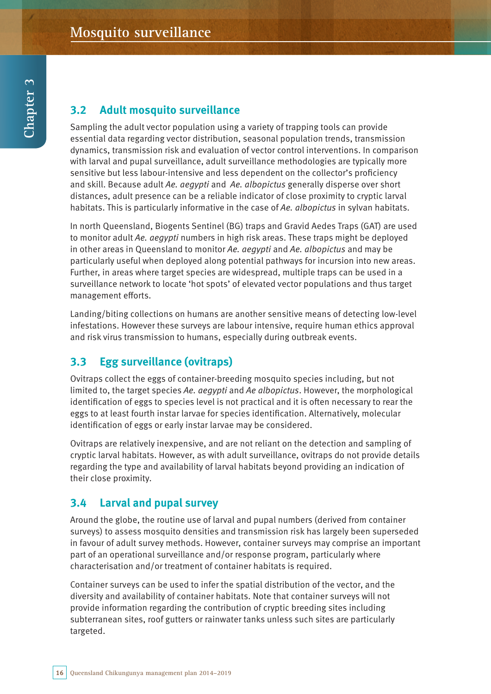# **3.2 Adult mosquito surveillance**

Sampling the adult vector population using a variety of trapping tools can provide essential data regarding vector distribution, seasonal population trends, transmission dynamics, transmission risk and evaluation of vector control interventions. In comparison with larval and pupal surveillance, adult surveillance methodologies are typically more sensitive but less labour-intensive and less dependent on the collector's proficiency and skill. Because adult Ae. aegypti and Ae. albopictus generally disperse over short distances, adult presence can be a reliable indicator of close proximity to cryptic larval habitats. This is particularly informative in the case of Ae. albopictus in sylvan habitats.

In north Queensland, Biogents Sentinel (BG) traps and Gravid Aedes Traps (GAT) are used to monitor adult Ae. aegypti numbers in high risk areas. These traps might be deployed in other areas in Queensland to monitor Ae. aegypti and Ae. albopictus and may be particularly useful when deployed along potential pathways for incursion into new areas. Further, in areas where target species are widespread, multiple traps can be used in a surveillance network to locate 'hot spots' of elevated vector populations and thus target management efforts.

Landing/biting collections on humans are another sensitive means of detecting low-level infestations. However these surveys are labour intensive, require human ethics approval and risk virus transmission to humans, especially during outbreak events.

# **3.3 Egg surveillance (ovitraps)**

Ovitraps collect the eggs of container-breeding mosquito species including, but not limited to, the target species Ae. aegypti and Ae albopictus. However, the morphological identification of eggs to species level is not practical and it is often necessary to rear the eggs to at least fourth instar larvae for species identification. Alternatively, molecular identification of eggs or early instar larvae may be considered.

Ovitraps are relatively inexpensive, and are not reliant on the detection and sampling of cryptic larval habitats. However, as with adult surveillance, ovitraps do not provide details regarding the type and availability of larval habitats beyond providing an indication of their close proximity.

# **3.4 Larval and pupal survey**

Around the globe, the routine use of larval and pupal numbers (derived from container surveys) to assess mosquito densities and transmission risk has largely been superseded in favour of adult survey methods. However, container surveys may comprise an important part of an operational surveillance and/or response program, particularly where characterisation and/or treatment of container habitats is required.

Container surveys can be used to infer the spatial distribution of the vector, and the diversity and availability of container habitats. Note that container surveys will not provide information regarding the contribution of cryptic breeding sites including subterranean sites, roof gutters or rainwater tanks unless such sites are particularly targeted.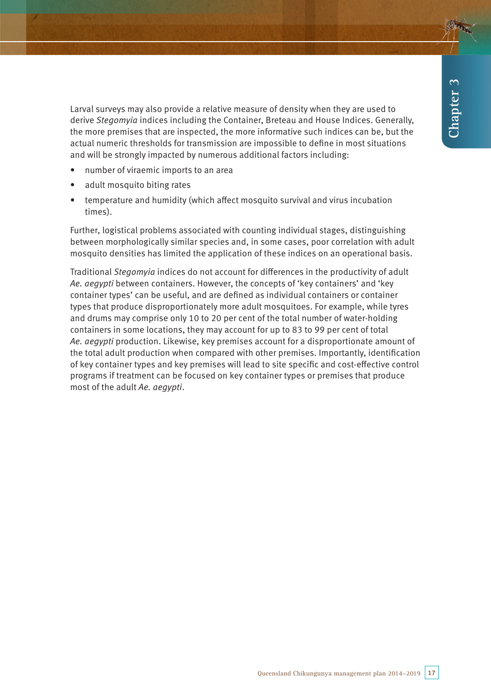Larval surveys may also provide a relative measure of density when they are used to derive Stegomyia indices including the Container, Breteau and House Indices. Generally, the more premises that are inspected, the more informative such indices can be, but the actual numeric thresholds for transmission are impossible to define in most situations and will be strongly impacted by numerous additional factors including:

- number of viraemic imports to an area
- adult mosquito biting rates
- temperature and humidity (which affect mosquito survival and virus incubation times).

Further, logistical problems associated with counting individual stages, distinguishing between morphologically similar species and, in some cases, poor correlation with adult mosquito densities has limited the application of these indices on an operational basis.

Traditional Stegomyia indices do not account for differences in the productivity of adult Ae. aegypti between containers. However, the concepts of 'key containers' and 'key container types' can be useful, and are defined as individual containers or container types that produce disproportionately more adult mosquitoes. For example, while tyres and drums may comprise only 10 to 20 per cent of the total number of water-holding containers in some locations, they may account for up to 83 to 99 per cent of total Ae. aegypti production. Likewise, key premises account for a disproportionate amount of the total adult production when compared with other premises. Importantly, identification of key container types and key premises will lead to site specific and cost-effective control programs if treatment can be focused on key container types or premises that produce most of the adult Ae. aegypti.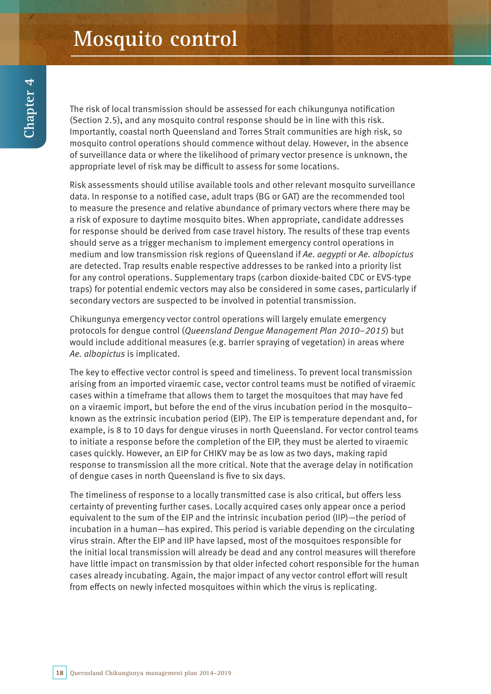The risk of local transmission should be assessed for each chikungunya notification (Section 2.5), and any mosquito control response should be in line with this risk. Importantly, coastal north Queensland and Torres Strait communities are high risk, so mosquito control operations should commence without delay. However, in the absence of surveillance data or where the likelihood of primary vector presence is unknown, the appropriate level of risk may be difficult to assess for some locations.

Risk assessments should utilise available tools and other relevant mosquito surveillance data. In response to a notified case, adult traps (BG or GAT) are the recommended tool to measure the presence and relative abundance of primary vectors where there may be a risk of exposure to daytime mosquito bites. When appropriate, candidate addresses for response should be derived from case travel history. The results of these trap events should serve as a trigger mechanism to implement emergency control operations in medium and low transmission risk regions of Queensland if Ae. aegypti or Ae. albopictus are detected. Trap results enable respective addresses to be ranked into a priority list for any control operations. Supplementary traps (carbon dioxide-baited CDC or EVS-type traps) for potential endemic vectors may also be considered in some cases, particularly if secondary vectors are suspected to be involved in potential transmission.

Chikungunya emergency vector control operations will largely emulate emergency protocols for dengue control (Queensland Dengue Management Plan 2010–2015) but would include additional measures (e.g. barrier spraying of vegetation) in areas where Ae. albopictus is implicated.

The key to effective vector control is speed and timeliness. To prevent local transmission arising from an imported viraemic case, vector control teams must be notified of viraemic cases within a timeframe that allows them to target the mosquitoes that may have fed on a viraemic import, but before the end of the virus incubation period in the mosquito– known as the extrinsic incubation period (EIP). The EIP is temperature dependant and, for example, is 8 to 10 days for dengue viruses in north Queensland. For vector control teams to initiate a response before the completion of the EIP, they must be alerted to viraemic cases quickly. However, an EIP for CHIKV may be as low as two days, making rapid response to transmission all the more critical. Note that the average delay in notification of dengue cases in north Queensland is five to six days.

The timeliness of response to a locally transmitted case is also critical, but offers less certainty of preventing further cases. Locally acquired cases only appear once a period equivalent to the sum of the EIP and the intrinsic incubation period (IIP)—the period of incubation in a human—has expired. This period is variable depending on the circulating virus strain. After the EIP and IIP have lapsed, most of the mosquitoes responsible for the initial local transmission will already be dead and any control measures will therefore have little impact on transmission by that older infected cohort responsible for the human cases already incubating. Again, the major impact of any vector control effort will result from effects on newly infected mosquitoes within which the virus is replicating.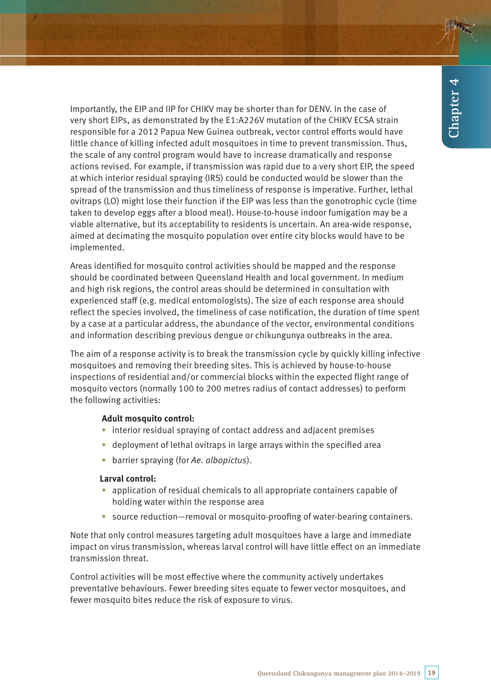Importantly, the EIP and IIP for CHIKV may be shorter than for DENV. In the case of very short EIPs, as demonstrated by the E1:A226V mutation of the CHIKV ECSA strain responsible for a 2012 Papua New Guinea outbreak, vector control efforts would have little chance of killing infected adult mosquitoes in time to prevent transmission. Thus, the scale of any control program would have to increase dramatically and response actions revised. For example, if transmission was rapid due to a very short EIP, the speed at which interior residual spraying (IRS) could be conducted would be slower than the spread of the transmission and thus timeliness of response is imperative. Further, lethal ovitraps (LO) might lose their function if the EIP was less than the gonotrophic cycle (time taken to develop eggs after a blood meal). House-to-house indoor fumigation may be a viable alternative, but its acceptability to residents is uncertain. An area-wide response, aimed at decimating the mosquito population over entire city blocks would have to be implemented.

Areas identified for mosquito control activities should be mapped and the response should be coordinated between Queensland Health and local government. In medium and high risk regions, the control areas should be determined in consultation with experienced staff (e.g. medical entomologists). The size of each response area should reflect the species involved, the timeliness of case notification, the duration of time spent by a case at a particular address, the abundance of the vector, environmental conditions and information describing previous dengue or chikungunya outbreaks in the area.

The aim of a response activity is to break the transmission cycle by quickly killing infective mosquitoes and removing their breeding sites. This is achieved by house-to-house inspections of residential and/or commercial blocks within the expected flight range of mosquito vectors (normally 100 to 200 metres radius of contact addresses) to perform the following activities:

#### **Adult mosquito control:**

- interior residual spraying of contact address and adjacent premises
- deployment of lethal ovitraps in large arrays within the specified area
- barrier spraying (for Ae. albopictus).

#### **Larval control:**

- application of residual chemicals to all appropriate containers capable of holding water within the response area
- source reduction—removal or mosquito-proofing of water-bearing containers.

Note that only control measures targeting adult mosquitoes have a large and immediate impact on virus transmission, whereas larval control will have little effect on an immediate transmission threat.

Control activities will be most effective where the community actively undertakes preventative behaviours. Fewer breeding sites equate to fewer vector mosquitoes, and fewer mosquito bites reduce the risk of exposure to virus.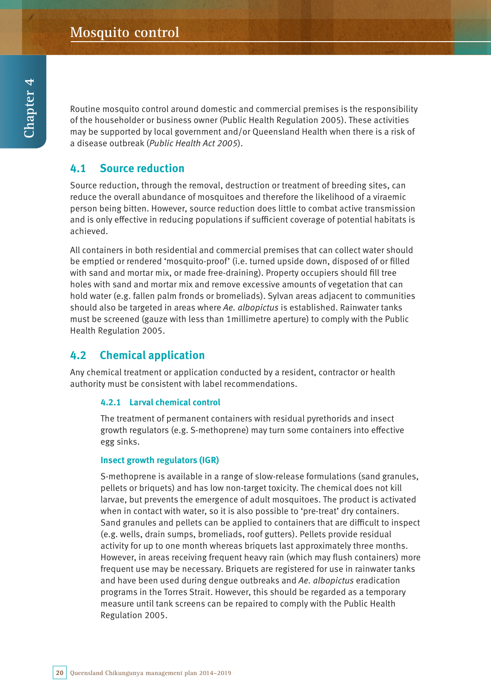Routine mosquito control around domestic and commercial premises is the responsibility of the householder or business owner (Public Health Regulation 2005). These activities may be supported by local government and/or Queensland Health when there is a risk of a disease outbreak (Public Health Act 2005).

# **4.1 Source reduction**

Source reduction, through the removal, destruction or treatment of breeding sites, can reduce the overall abundance of mosquitoes and therefore the likelihood of a viraemic person being bitten. However, source reduction does little to combat active transmission and is only effective in reducing populations if sufficient coverage of potential habitats is achieved.

All containers in both residential and commercial premises that can collect water should be emptied or rendered 'mosquito-proof' (i.e. turned upside down, disposed of or filled with sand and mortar mix, or made free-draining). Property occupiers should fill tree holes with sand and mortar mix and remove excessive amounts of vegetation that can hold water (e.g. fallen palm fronds or bromeliads). Sylvan areas adjacent to communities should also be targeted in areas where Ae. albopictus is established. Rainwater tanks must be screened (gauze with less than 1millimetre aperture) to comply with the Public Health Regulation 2005.

# **4.2 Chemical application**

Any chemical treatment or application conducted by a resident, contractor or health authority must be consistent with label recommendations.

#### **4.2.1 Larval chemical control**

The treatment of permanent containers with residual pyrethorids and insect growth regulators (e.g. S-methoprene) may turn some containers into effective egg sinks.

#### **Insect growth regulators (IGR)**

S-methoprene is available in a range of slow-release formulations (sand granules, pellets or briquets) and has low non-target toxicity. The chemical does not kill larvae, but prevents the emergence of adult mosquitoes. The product is activated when in contact with water, so it is also possible to 'pre-treat' dry containers. Sand granules and pellets can be applied to containers that are difficult to inspect (e.g. wells, drain sumps, bromeliads, roof gutters). Pellets provide residual activity for up to one month whereas briquets last approximately three months. However, in areas receiving frequent heavy rain (which may flush containers) more frequent use may be necessary. Briquets are registered for use in rainwater tanks and have been used during dengue outbreaks and Ae. albopictus eradication programs in the Torres Strait. However, this should be regarded as a temporary measure until tank screens can be repaired to comply with the Public Health Regulation 2005.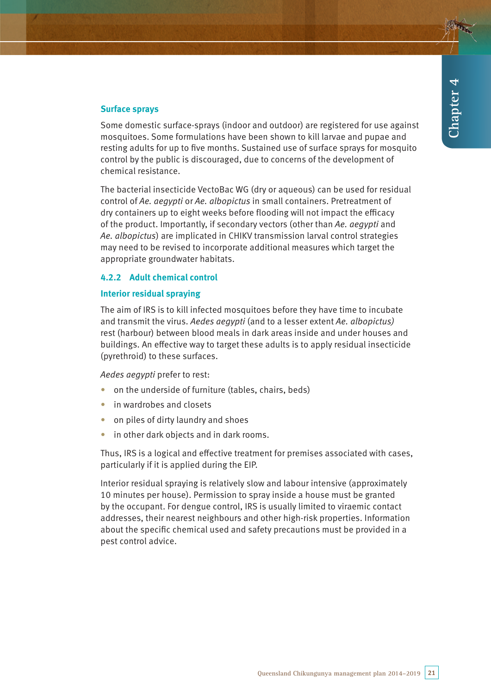#### **Surface sprays**

Some domestic surface-sprays (indoor and outdoor) are registered for use against mosquitoes. Some formulations have been shown to kill larvae and pupae and resting adults for up to five months. Sustained use of surface sprays for mosquito control by the public is discouraged, due to concerns of the development of chemical resistance.

The bacterial insecticide VectoBac WG (dry or aqueous) can be used for residual control of Ae. aegypti or Ae. albopictus in small containers. Pretreatment of dry containers up to eight weeks before flooding will not impact the efficacy of the product. Importantly, if secondary vectors (other than Ae. aegypti and Ae. albopictus) are implicated in CHIKV transmission larval control strategies may need to be revised to incorporate additional measures which target the appropriate groundwater habitats.

#### **4.2.2 Adult chemical control**

#### **Interior residual spraying**

The aim of IRS is to kill infected mosquitoes before they have time to incubate and transmit the virus. Aedes aegypti (and to a lesser extent Ae. albopictus) rest (harbour) between blood meals in dark areas inside and under houses and buildings. An effective way to target these adults is to apply residual insecticide (pyrethroid) to these surfaces.

Aedes aegypti prefer to rest:

- on the underside of furniture (tables, chairs, beds)
- in wardrobes and closets
- on piles of dirty laundry and shoes
- in other dark objects and in dark rooms.

Thus, IRS is a logical and effective treatment for premises associated with cases, particularly if it is applied during the EIP.

Interior residual spraying is relatively slow and labour intensive (approximately 10 minutes per house). Permission to spray inside a house must be granted by the occupant. For dengue control, IRS is usually limited to viraemic contact addresses, their nearest neighbours and other high-risk properties. Information about the specific chemical used and safety precautions must be provided in a pest control advice.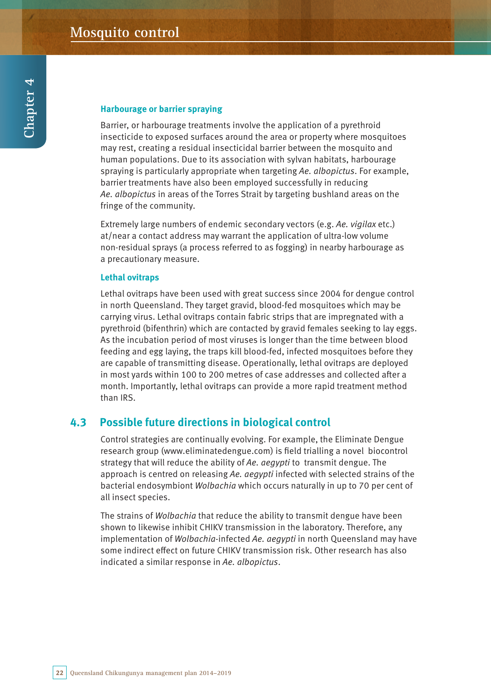#### **Harbourage or barrier spraying**

Barrier, or harbourage treatments involve the application of a pyrethroid insecticide to exposed surfaces around the area or property where mosquitoes may rest, creating a residual insecticidal barrier between the mosquito and human populations. Due to its association with sylvan habitats, harbourage spraying is particularly appropriate when targeting Ae. albopictus. For example, barrier treatments have also been employed successfully in reducing Ae. albopictus in areas of the Torres Strait by targeting bushland areas on the fringe of the community.

Extremely large numbers of endemic secondary vectors (e.g. Ae. vigilax etc.) at/near a contact address may warrant the application of ultra-low volume non-residual sprays (a process referred to as fogging) in nearby harbourage as a precautionary measure.

#### **Lethal ovitraps**

Lethal ovitraps have been used with great success since 2004 for dengue control in north Queensland. They target gravid, blood-fed mosquitoes which may be carrying virus. Lethal ovitraps contain fabric strips that are impregnated with a pyrethroid (bifenthrin) which are contacted by gravid females seeking to lay eggs. As the incubation period of most viruses is longer than the time between blood feeding and egg laying, the traps kill blood-fed, infected mosquitoes before they are capable of transmitting disease. Operationally, lethal ovitraps are deployed in most yards within 100 to 200 metres of case addresses and collected after a month. Importantly, lethal ovitraps can provide a more rapid treatment method than IRS.

# **4.3 Possible future directions in biological control**

Control strategies are continually evolving. For example, the Eliminate Dengue research group (www.eliminatedengue.com) is field trialling a novel biocontrol strategy that will reduce the ability of Ae. aegypti to transmit dengue. The approach is centred on releasing Ae. aegypti infected with selected strains of the bacterial endosymbiont Wolbachia which occurs naturally in up to 70 per cent of all insect species.

The strains of Wolbachia that reduce the ability to transmit dengue have been shown to likewise inhibit CHIKV transmission in the laboratory. Therefore, any implementation of Wolbachia-infected Ae. aegypti in north Queensland may have some indirect effect on future CHIKV transmission risk. Other research has also indicated a similar response in Ae. albopictus.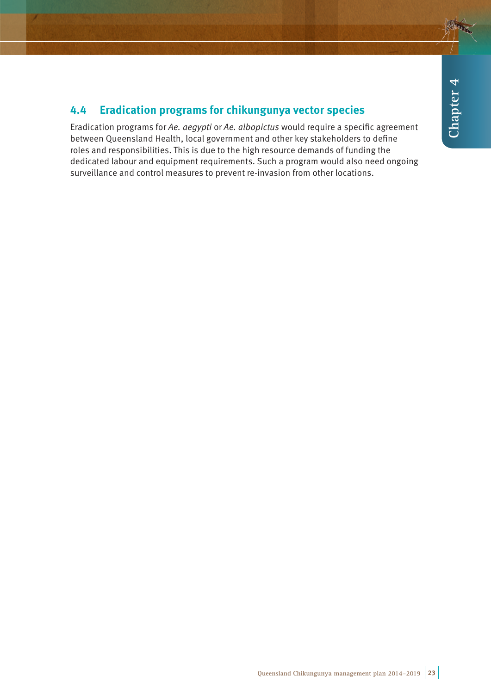# **4.4 Eradication programs for chikungunya vector species**

Eradication programs for Ae. aegypti or Ae. albopictus would require a specific agreement between Queensland Health, local government and other key stakeholders to define roles and responsibilities. This is due to the high resource demands of funding the dedicated labour and equipment requirements. Such a program would also need ongoing surveillance and control measures to prevent re-invasion from other locations.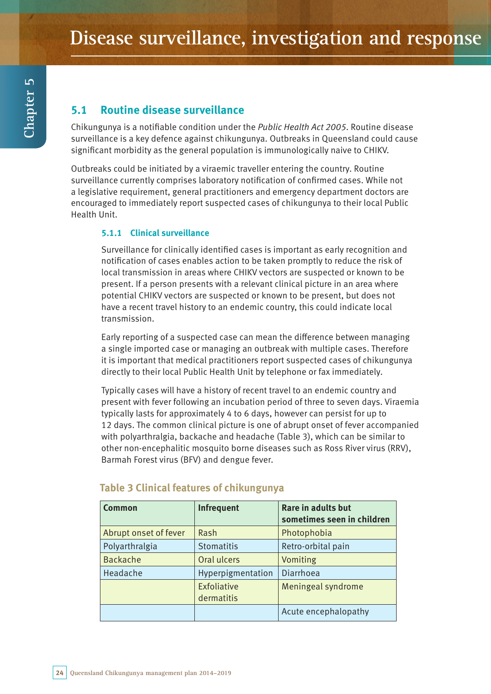# **5.1 Routine disease surveillance**

Chikungunya is a notifiable condition under the Public Health Act 2005. Routine disease surveillance is a key defence against chikungunya. Outbreaks in Queensland could cause significant morbidity as the general population is immunologically naive to CHIKV.

Outbreaks could be initiated by a viraemic traveller entering the country. Routine surveillance currently comprises laboratory notification of confirmed cases. While not a legislative requirement, general practitioners and emergency department doctors are encouraged to immediately report suspected cases of chikungunya to their local Public Health Unit.

#### **5.1.1 Clinical surveillance**

Surveillance for clinically identified cases is important as early recognition and notification of cases enables action to be taken promptly to reduce the risk of local transmission in areas where CHIKV vectors are suspected or known to be present. If a person presents with a relevant clinical picture in an area where potential CHIKV vectors are suspected or known to be present, but does not have a recent travel history to an endemic country, this could indicate local transmission.

Early reporting of a suspected case can mean the difference between managing a single imported case or managing an outbreak with multiple cases. Therefore it is important that medical practitioners report suspected cases of chikungunya directly to their local Public Health Unit by telephone or fax immediately.

Typically cases will have a history of recent travel to an endemic country and present with fever following an incubation period of three to seven days. Viraemia typically lasts for approximately 4 to 6 days, however can persist for up to 12 days. The common clinical picture is one of abrupt onset of fever accompanied with polyarthralgia, backache and headache (Table 3), which can be similar to other non-encephalitic mosquito borne diseases such as Ross River virus (RRV), Barmah Forest virus (BFV) and dengue fever.

| <b>Common</b>         | <b>Infrequent</b>         | Rare in adults but<br>sometimes seen in children |
|-----------------------|---------------------------|--------------------------------------------------|
| Abrupt onset of fever | Rash                      | Photophobia                                      |
| Polyarthralgia        | <b>Stomatitis</b>         | Retro-orbital pain                               |
| <b>Backache</b>       | Oral ulcers               | Vomiting                                         |
| Headache              | Hyperpigmentation         | Diarrhoea                                        |
|                       | Exfoliative<br>dermatitis | Meningeal syndrome                               |
|                       |                           | Acute encephalopathy                             |

# **Table 3 Clinical features of chikungunya**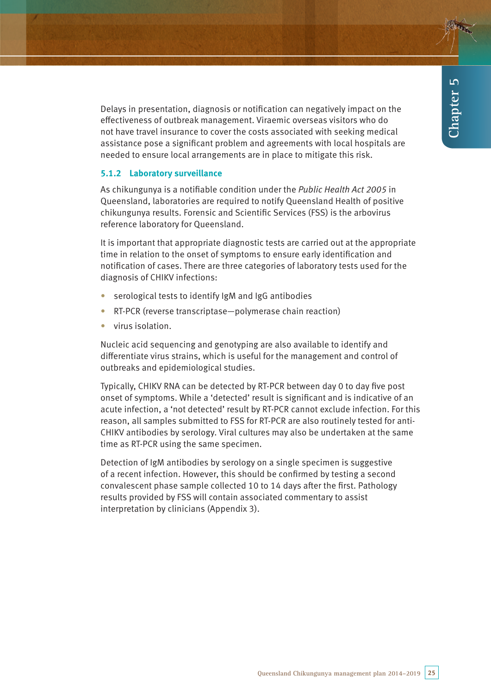Delays in presentation, diagnosis or notification can negatively impact on the effectiveness of outbreak management. Viraemic overseas visitors who do not have travel insurance to cover the costs associated with seeking medical assistance pose a significant problem and agreements with local hospitals are needed to ensure local arrangements are in place to mitigate this risk.

#### **5.1.2 Laboratory surveillance**

As chikungunya is a notifiable condition under the Public Health Act 2005 in Queensland, laboratories are required to notify Queensland Health of positive chikungunya results. Forensic and Scientific Services (FSS) is the arbovirus reference laboratory for Queensland.

It is important that appropriate diagnostic tests are carried out at the appropriate time in relation to the onset of symptoms to ensure early identification and notification of cases. There are three categories of laboratory tests used for the diagnosis of CHIKV infections:

- serological tests to identify IgM and IgG antibodies
- RT-PCR (reverse transcriptase—polymerase chain reaction)
- virus isolation.

Nucleic acid sequencing and genotyping are also available to identify and differentiate virus strains, which is useful for the management and control of outbreaks and epidemiological studies.

Typically, CHIKV RNA can be detected by RT-PCR between day 0 to day five post onset of symptoms. While a 'detected' result is significant and is indicative of an acute infection, a 'not detected' result by RT-PCR cannot exclude infection. For this reason, all samples submitted to FSS for RT-PCR are also routinely tested for anti-CHIKV antibodies by serology. Viral cultures may also be undertaken at the same time as RT-PCR using the same specimen.

Detection of IgM antibodies by serology on a single specimen is suggestive of a recent infection. However, this should be confirmed by testing a second convalescent phase sample collected 10 to 14 days after the first. Pathology results provided by FSS will contain associated commentary to assist interpretation by clinicians (Appendix 3).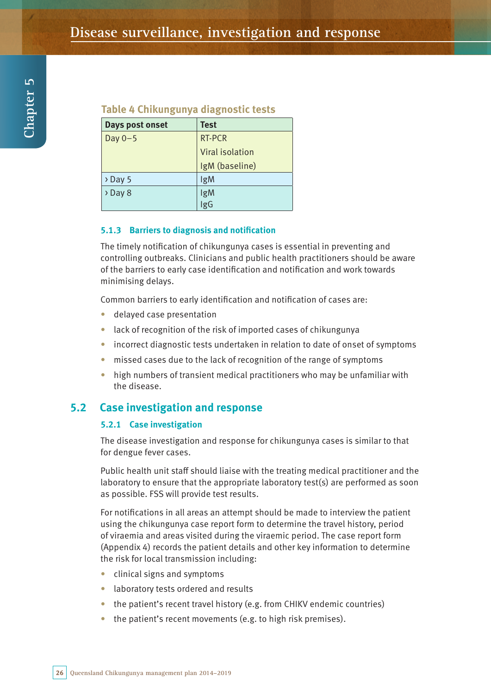# **Table 4 Chikungunya diagnostic tests**

| Days post onset     | <b>Test</b>     |
|---------------------|-----------------|
| Day $0-5$           | RT-PCR          |
|                     | Viral isolation |
|                     | IgM (baseline)  |
| $\rightarrow$ Day 5 | IgM             |
| $\rightarrow$ Day 8 | IgM             |
|                     | IgG             |

#### **5.1.3 Barriers to diagnosis and notification**

The timely notification of chikungunya cases is essential in preventing and controlling outbreaks. Clinicians and public health practitioners should be aware of the barriers to early case identification and notification and work towards minimising delays.

Common barriers to early identification and notification of cases are:

- • delayed case presentation
- lack of recognition of the risk of imported cases of chikungunya
- incorrect diagnostic tests undertaken in relation to date of onset of symptoms
- missed cases due to the lack of recognition of the range of symptoms
- high numbers of transient medical practitioners who may be unfamiliar with the disease.

### **5.2 Case investigation and response**

#### **5.2.1 Case investigation**

The disease investigation and response for chikungunya cases is similar to that for dengue fever cases.

Public health unit staff should liaise with the treating medical practitioner and the laboratory to ensure that the appropriate laboratory test(s) are performed as soon as possible. FSS will provide test results.

For notifications in all areas an attempt should be made to interview the patient using the chikungunya case report form to determine the travel history, period of viraemia and areas visited during the viraemic period. The case report form (Appendix 4) records the patient details and other key information to determine the risk for local transmission including:

- clinical signs and symptoms
- • laboratory tests ordered and results
- $\bullet$  the patient's recent travel history (e.g. from CHIKV endemic countries)
- $\bullet$  the patient's recent movements (e.g. to high risk premises).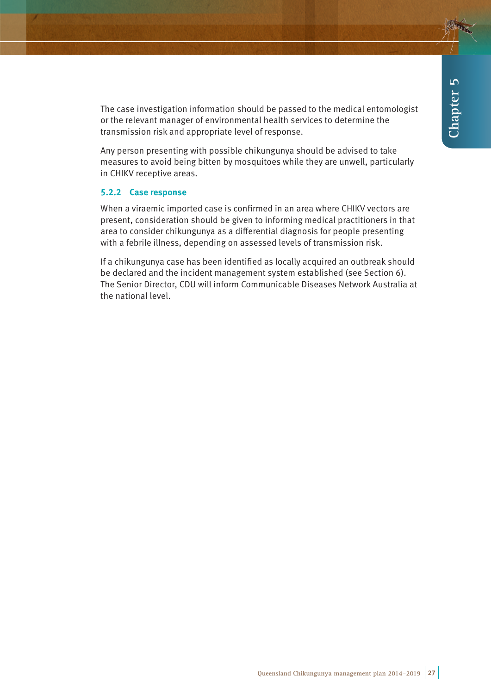The case investigation information should be passed to the medical entomologist or the relevant manager of environmental health services to determine the transmission risk and appropriate level of response.

Any person presenting with possible chikungunya should be advised to take measures to avoid being bitten by mosquitoes while they are unwell, particularly in CHIKV receptive areas.

#### **5.2.2 Case response**

When a viraemic imported case is confirmed in an area where CHIKV vectors are present, consideration should be given to informing medical practitioners in that area to consider chikungunya as a differential diagnosis for people presenting with a febrile illness, depending on assessed levels of transmission risk.

If a chikungunya case has been identified as locally acquired an outbreak should be declared and the incident management system established (see Section 6). The Senior Director, CDU will inform Communicable Diseases Network Australia at the national level.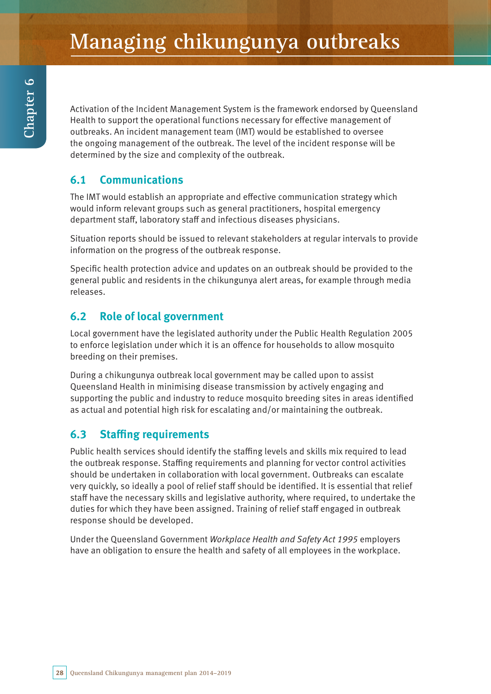Activation of the Incident Management System is the framework endorsed by Queensland Health to support the operational functions necessary for effective management of outbreaks. An incident management team (IMT) would be established to oversee the ongoing management of the outbreak. The level of the incident response will be determined by the size and complexity of the outbreak.

# **6.1 Communications**

The IMT would establish an appropriate and effective communication strategy which would inform relevant groups such as general practitioners, hospital emergency department staff, laboratory staff and infectious diseases physicians.

Situation reports should be issued to relevant stakeholders at regular intervals to provide information on the progress of the outbreak response.

Specific health protection advice and updates on an outbreak should be provided to the general public and residents in the chikungunya alert areas, for example through media releases.

# **6.2 Role of local government**

Local government have the legislated authority under the Public Health Regulation 2005 to enforce legislation under which it is an offence for households to allow mosquito breeding on their premises.

During a chikungunya outbreak local government may be called upon to assist Queensland Health in minimising disease transmission by actively engaging and supporting the public and industry to reduce mosquito breeding sites in areas identified as actual and potential high risk for escalating and/or maintaining the outbreak.

# **6.3 Staffing requirements**

Public health services should identify the staffing levels and skills mix required to lead the outbreak response. Staffing requirements and planning for vector control activities should be undertaken in collaboration with local government. Outbreaks can escalate very quickly, so ideally a pool of relief staff should be identified. It is essential that relief staff have the necessary skills and legislative authority, where required, to undertake the duties for which they have been assigned. Training of relief staff engaged in outbreak response should be developed.

Under the Queensland Government Workplace Health and Safety Act 1995 employers have an obligation to ensure the health and safety of all employees in the workplace.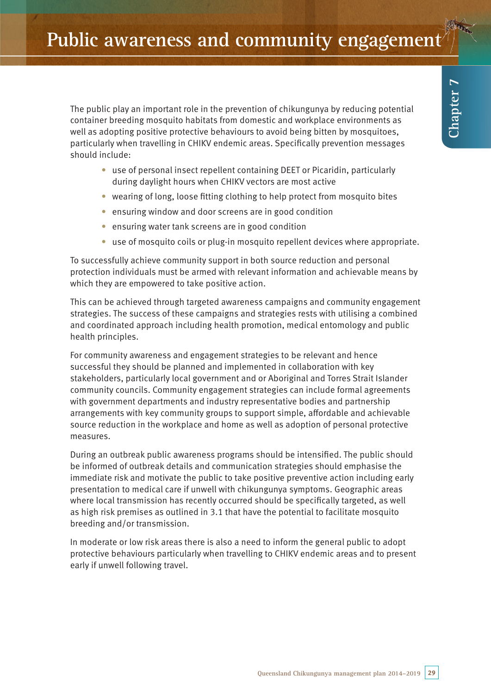The public play an important role in the prevention of chikungunya by reducing potential container breeding mosquito habitats from domestic and workplace environments as well as adopting positive protective behaviours to avoid being bitten by mosquitoes, particularly when travelling in CHIKV endemic areas. Specifically prevention messages should include:

- use of personal insect repellent containing DEET or Picaridin, particularly during daylight hours when CHIKV vectors are most active
- wearing of long, loose fitting clothing to help protect from mosquito bites
- ensuring window and door screens are in good condition
- ensuring water tank screens are in good condition
- use of mosquito coils or plug-in mosquito repellent devices where appropriate.

To successfully achieve community support in both source reduction and personal protection individuals must be armed with relevant information and achievable means by which they are empowered to take positive action.

This can be achieved through targeted awareness campaigns and community engagement strategies. The success of these campaigns and strategies rests with utilising a combined and coordinated approach including health promotion, medical entomology and public health principles.

For community awareness and engagement strategies to be relevant and hence successful they should be planned and implemented in collaboration with key stakeholders, particularly local government and or Aboriginal and Torres Strait Islander community councils. Community engagement strategies can include formal agreements with government departments and industry representative bodies and partnership arrangements with key community groups to support simple, affordable and achievable source reduction in the workplace and home as well as adoption of personal protective measures.

During an outbreak public awareness programs should be intensified. The public should be informed of outbreak details and communication strategies should emphasise the immediate risk and motivate the public to take positive preventive action including early presentation to medical care if unwell with chikungunya symptoms. Geographic areas where local transmission has recently occurred should be specifically targeted, as well as high risk premises as outlined in 3.1 that have the potential to facilitate mosquito breeding and/or transmission.

In moderate or low risk areas there is also a need to inform the general public to adopt protective behaviours particularly when travelling to CHIKV endemic areas and to present early if unwell following travel.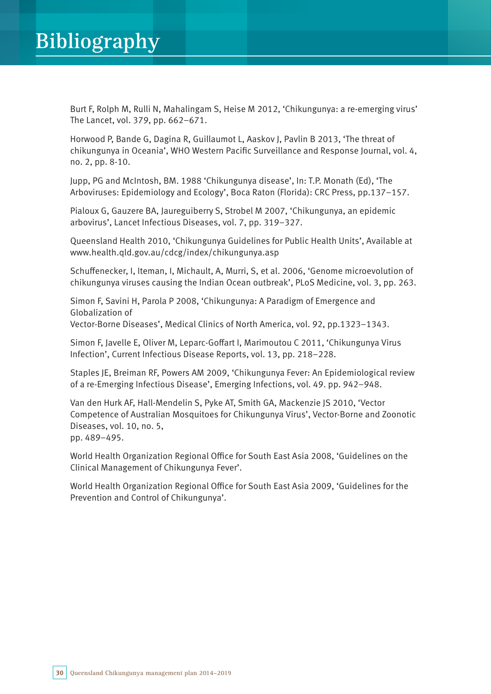Burt F, Rolph M, Rulli N, Mahalingam S, Heise M 2012, 'Chikungunya: a re-emerging virus' The Lancet, vol. 379, pp. 662–671.

Horwood P, Bande G, Dagina R, Guillaumot L, Aaskov J, Pavlin B 2013, 'The threat of chikungunya in Oceania', WHO Western Pacific Surveillance and Response Journal, vol. 4, no. 2, pp. 8-10.

Jupp, PG and McIntosh, BM. 1988 'Chikungunya disease', In: T.P. Monath (Ed), 'The Arboviruses: Epidemiology and Ecology', Boca Raton (Florida): CRC Press, pp.137–157.

Pialoux G, Gauzere BA, Jaureguiberry S, Strobel M 2007, 'Chikungunya, an epidemic arbovirus', Lancet Infectious Diseases, vol. 7, pp. 319–327.

Queensland Health 2010, 'Chikungunya Guidelines for Public Health Units', Available at www.health.qld.gov.au/cdcg/index/chikungunya.asp

Schuffenecker, I, Iteman, I, Michault, A, Murri, S, et al. 2006, 'Genome microevolution of chikungunya viruses causing the Indian Ocean outbreak', PLoS Medicine, vol. 3, pp. 263.

Simon F, Savini H, Parola P 2008, 'Chikungunya: A Paradigm of Emergence and Globalization of

Vector-Borne Diseases', Medical Clinics of North America, vol. 92, pp.1323–1343.

Simon F, Javelle E, Oliver M, Leparc-Goffart I, Marimoutou C 2011, 'Chikungunya Virus Infection', Current Infectious Disease Reports, vol. 13, pp. 218–228.

Staples JE, Breiman RF, Powers AM 2009, 'Chikungunya Fever: An Epidemiological review of a re-Emerging Infectious Disease', Emerging Infections, vol. 49. pp. 942–948.

Van den Hurk AF, Hall-Mendelin S, Pyke AT, Smith GA, Mackenzie JS 2010, 'Vector Competence of Australian Mosquitoes for Chikungunya Virus', Vector-Borne and Zoonotic Diseases, vol. 10, no. 5, pp. 489–495.

World Health Organization Regional Office for South East Asia 2008, 'Guidelines on the Clinical Management of Chikungunya Fever'.

World Health Organization Regional Office for South East Asia 2009, 'Guidelines for the Prevention and Control of Chikungunya'.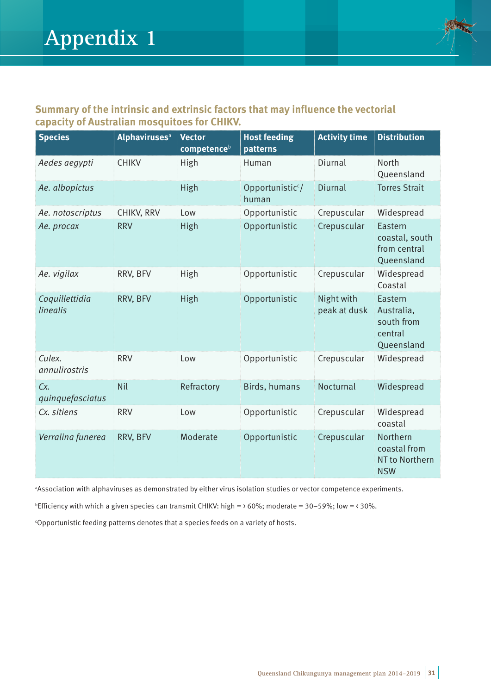

# **Summary of the intrinsic and extrinsic factors that may influence the vectorial capacity of Australian mosquitoes for CHIKV.**

| <b>Species</b>             | <b>Alphaviruses</b> <sup>a</sup> | <b>Vector</b><br>competence <sup>b</sup> | <b>Host feeding</b><br>patterns       | <b>Activity time</b>       | <b>Distribution</b>                                          |
|----------------------------|----------------------------------|------------------------------------------|---------------------------------------|----------------------------|--------------------------------------------------------------|
| Aedes aegypti              | <b>CHIKV</b>                     | High                                     | Human                                 | Diurnal                    | North<br>Queensland                                          |
| Ae. albopictus             |                                  | High                                     | Opportunistic <sup>c</sup> /<br>human | Diurnal                    | <b>Torres Strait</b>                                         |
| Ae. notoscriptus           | CHIKV, RRV                       | Low                                      | Opportunistic                         | Crepuscular                | Widespread                                                   |
| Ae. procax                 | <b>RRV</b>                       | High                                     | Opportunistic                         | Crepuscular                | Eastern<br>coastal, south<br>from central<br>Queensland      |
| Ae. vigilax                | RRV, BFV                         | High                                     | Opportunistic                         | Crepuscular                | Widespread<br>Coastal                                        |
| Coquillettidia<br>linealis | RRV, BFV                         | High                                     | Opportunistic                         | Night with<br>peak at dusk | Eastern<br>Australia,<br>south from<br>central<br>Queensland |
| Culex.<br>annulirostris    | <b>RRV</b>                       | Low                                      | Opportunistic                         | Crepuscular                | Widespread                                                   |
| Cx.<br>quinquefasciatus    | Nil                              | Refractory                               | Birds, humans                         | Nocturnal                  | Widespread                                                   |
| Cx. sitiens                | <b>RRV</b>                       | Low                                      | Opportunistic                         | Crepuscular                | Widespread<br>coastal                                        |
| Verralina funerea          | RRV, BFV                         | Moderate                                 | Opportunistic                         | Crepuscular                | Northern<br>coastal from<br>NT to Northern<br><b>NSW</b>     |

a Association with alphaviruses as demonstrated by either virus isolation studies or vector competence experiments.

<sup>b</sup>Efficiency with which a given species can transmit CHIKV: high =  $\times$  60%; moderate = 30-59%; low =  $\times$  30%.

c Opportunistic feeding patterns denotes that a species feeds on a variety of hosts.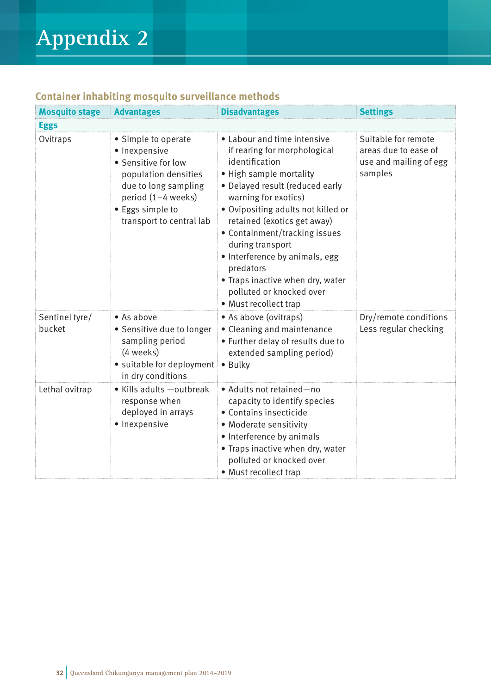|  |  |  | <b>Container inhabiting mosquito surveillance methods</b> |  |
|--|--|--|-----------------------------------------------------------|--|
|--|--|--|-----------------------------------------------------------|--|

| <b>Mosquito stage</b>    | <b>Advantages</b>                                                                                                                                                                 | <b>Disadvantages</b>                                                                                                                                                                                                                                                                                                                                                                                                                  | <b>Settings</b>                                                                  |  |  |  |
|--------------------------|-----------------------------------------------------------------------------------------------------------------------------------------------------------------------------------|---------------------------------------------------------------------------------------------------------------------------------------------------------------------------------------------------------------------------------------------------------------------------------------------------------------------------------------------------------------------------------------------------------------------------------------|----------------------------------------------------------------------------------|--|--|--|
| <b>Eggs</b>              |                                                                                                                                                                                   |                                                                                                                                                                                                                                                                                                                                                                                                                                       |                                                                                  |  |  |  |
| Ovitraps                 | • Simple to operate<br>· Inexpensive<br>• Sensitive for low<br>population densities<br>due to long sampling<br>period (1-4 weeks)<br>• Eggs simple to<br>transport to central lab | • Labour and time intensive<br>if rearing for morphological<br>identification<br>• High sample mortality<br>· Delayed result (reduced early<br>warning for exotics)<br>· Ovipositing adults not killed or<br>retained (exotics get away)<br>• Containment/tracking issues<br>during transport<br>• Interference by animals, egg<br>predators<br>• Traps inactive when dry, water<br>polluted or knocked over<br>• Must recollect trap | Suitable for remote<br>areas due to ease of<br>use and mailing of egg<br>samples |  |  |  |
| Sentinel tyre/<br>bucket | • As above<br>• Sensitive due to longer<br>sampling period<br>(4 weeks)<br>• suitable for deployment<br>in dry conditions                                                         | • As above (ovitraps)<br>• Cleaning and maintenance<br>• Further delay of results due to<br>extended sampling period)<br>• Bulky                                                                                                                                                                                                                                                                                                      | Dry/remote conditions<br>Less regular checking                                   |  |  |  |
| Lethal ovitrap           | • Kills adults - outbreak<br>response when<br>deployed in arrays<br>· Inexpensive                                                                                                 | • Adults not retained-no<br>capacity to identify species<br>• Contains insecticide<br>• Moderate sensitivity<br>• Interference by animals<br>• Traps inactive when dry, water<br>polluted or knocked over<br>• Must recollect trap                                                                                                                                                                                                    |                                                                                  |  |  |  |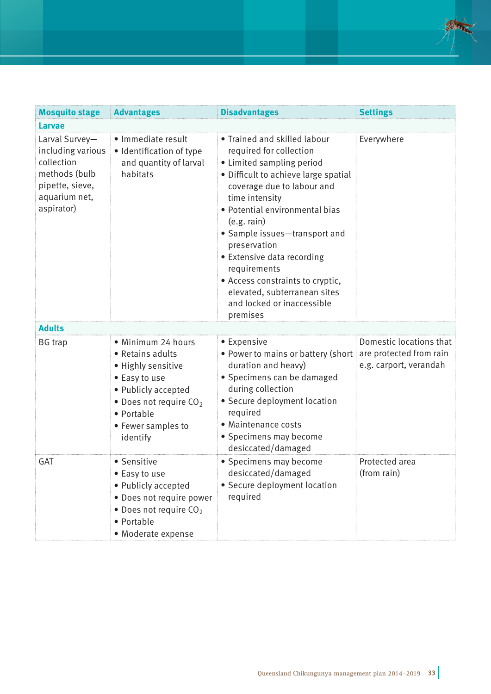| <b>Mosquito stage</b>                                                                                                | <b>Advantages</b>                                                                                                                                                                | <b>Disadvantages</b>                                                                                                                                                                                                                                                                                                                                                                                                                       | <b>Settings</b>                                                              |
|----------------------------------------------------------------------------------------------------------------------|----------------------------------------------------------------------------------------------------------------------------------------------------------------------------------|--------------------------------------------------------------------------------------------------------------------------------------------------------------------------------------------------------------------------------------------------------------------------------------------------------------------------------------------------------------------------------------------------------------------------------------------|------------------------------------------------------------------------------|
| <b>Larvae</b>                                                                                                        |                                                                                                                                                                                  |                                                                                                                                                                                                                                                                                                                                                                                                                                            |                                                                              |
| Larval Survey-<br>including various<br>collection<br>methods (bulb<br>pipette, sieve,<br>aquarium net,<br>aspirator) | · Immediate result<br>· Identification of type<br>and quantity of larval<br>habitats                                                                                             | • Trained and skilled labour<br>required for collection<br>• Limited sampling period<br>· Difficult to achieve large spatial<br>coverage due to labour and<br>time intensity<br>· Potential environmental bias<br>(e.g. rain)<br>• Sample issues-transport and<br>preservation<br>• Extensive data recording<br>requirements<br>• Access constraints to cryptic,<br>elevated, subterranean sites<br>and locked or inaccessible<br>premises | Everywhere                                                                   |
| <b>Adults</b>                                                                                                        |                                                                                                                                                                                  |                                                                                                                                                                                                                                                                                                                                                                                                                                            |                                                                              |
| <b>BG</b> trap                                                                                                       | · Minimum 24 hours<br>• Retains adults<br>• Highly sensitive<br>• Easy to use<br>• Publicly accepted<br>• Does not require $CO2$<br>• Portable<br>• Fewer samples to<br>identify | • Expensive<br>• Power to mains or battery (short<br>duration and heavy)<br>• Specimens can be damaged<br>during collection<br>• Secure deployment location<br>required<br>• Maintenance costs<br>• Specimens may become<br>desiccated/damaged                                                                                                                                                                                             | Domestic locations that<br>are protected from rain<br>e.g. carport, verandah |
| GAT                                                                                                                  | • Sensitive<br>• Easy to use<br>• Publicly accepted<br>• Does not require power<br>$\bullet$ Does not require CO <sub>2</sub><br>• Portable<br>• Moderate expense                | • Specimens may become<br>desiccated/damaged<br>• Secure deployment location<br>required                                                                                                                                                                                                                                                                                                                                                   | Protected area<br>(from rain)                                                |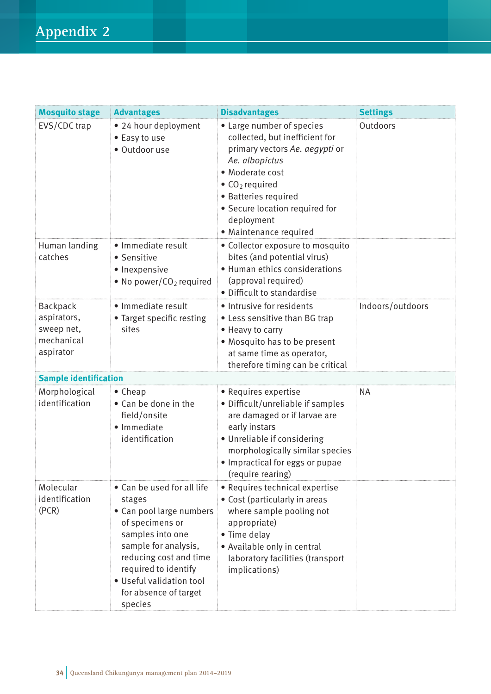| <b>Mosquito stage</b>                                            | <b>Advantages</b>                                                                                                                                                                                                                                 | <b>Disadvantages</b>                                                                                                                                                                                                                                                       | <b>Settings</b>  |
|------------------------------------------------------------------|---------------------------------------------------------------------------------------------------------------------------------------------------------------------------------------------------------------------------------------------------|----------------------------------------------------------------------------------------------------------------------------------------------------------------------------------------------------------------------------------------------------------------------------|------------------|
| EVS/CDC trap                                                     | • 24 hour deployment<br>• Easy to use<br>· Outdoor use                                                                                                                                                                                            | • Large number of species<br>collected, but inefficient for<br>primary vectors Ae. aegypti or<br>Ae. albopictus<br>• Moderate cost<br>$\bullet$ CO <sub>2</sub> required<br>• Batteries required<br>• Secure location required for<br>deployment<br>• Maintenance required | Outdoors         |
| Human landing<br>catches                                         | · Immediate result<br>• Sensitive<br>• Inexpensive<br>• No power/ $CO2$ required                                                                                                                                                                  | • Collector exposure to mosquito<br>bites (and potential virus)<br>• Human ethics considerations<br>(approval required)<br>• Difficult to standardise                                                                                                                      |                  |
| Backpack<br>aspirators,<br>sweep net,<br>mechanical<br>aspirator | · Immediate result<br>• Target specific resting<br>sites                                                                                                                                                                                          | · Intrusive for residents<br>• Less sensitive than BG trap<br>• Heavy to carry<br>• Mosquito has to be present<br>at same time as operator,<br>therefore timing can be critical                                                                                            | Indoors/outdoors |
| <b>Sample identification</b>                                     |                                                                                                                                                                                                                                                   |                                                                                                                                                                                                                                                                            |                  |
| Morphological<br>identification                                  | $\bullet$ Cheap<br>• Can be done in the<br>field/onsite<br>· Immediate<br>identification                                                                                                                                                          | • Requires expertise<br>• Difficult/unreliable if samples<br>are damaged or if larvae are<br>early instars<br>• Unreliable if considering<br>morphologically similar species<br>• Impractical for eggs or pupae<br>(require rearing)                                       | <b>NA</b>        |
| Molecular<br>identification<br>(PCR)                             | • Can be used for all life<br>stages<br>• Can pool large numbers<br>of specimens or<br>samples into one<br>sample for analysis,<br>reducing cost and time<br>required to identify<br>· Useful validation tool<br>for absence of target<br>species | • Requires technical expertise<br>• Cost (particularly in areas<br>where sample pooling not<br>appropriate)<br>• Time delay<br>• Available only in central<br>laboratory facilities (transport<br>implications)                                                            |                  |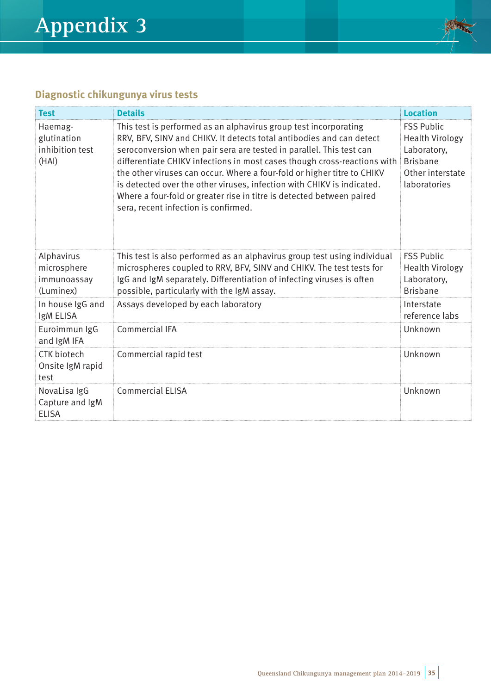

# **Diagnostic chikungunya virus tests**

| <b>Test</b>                                           | <b>Details</b>                                                                                                                                                                                                                                                                                                                                                                                                                                                                                                                                                    | <b>Location</b>                                                                                                   |
|-------------------------------------------------------|-------------------------------------------------------------------------------------------------------------------------------------------------------------------------------------------------------------------------------------------------------------------------------------------------------------------------------------------------------------------------------------------------------------------------------------------------------------------------------------------------------------------------------------------------------------------|-------------------------------------------------------------------------------------------------------------------|
| Haemag-<br>glutination<br>inhibition test<br>(HAI)    | This test is performed as an alphavirus group test incorporating<br>RRV, BFV, SINV and CHIKV. It detects total antibodies and can detect<br>seroconversion when pair sera are tested in parallel. This test can<br>differentiate CHIKV infections in most cases though cross-reactions with<br>the other viruses can occur. Where a four-fold or higher titre to CHIKV<br>is detected over the other viruses, infection with CHIKV is indicated.<br>Where a four-fold or greater rise in titre is detected between paired<br>sera, recent infection is confirmed. | <b>FSS Public</b><br><b>Health Virology</b><br>Laboratory,<br><b>Brisbane</b><br>Other interstate<br>laboratories |
| Alphavirus<br>microsphere<br>immunoassay<br>(Luminex) | This test is also performed as an alphavirus group test using individual<br>microspheres coupled to RRV, BFV, SINV and CHIKV. The test tests for<br>IgG and IgM separately. Differentiation of infecting viruses is often<br>possible, particularly with the IgM assay.                                                                                                                                                                                                                                                                                           | <b>FSS Public</b><br><b>Health Virology</b><br>Laboratory,<br><b>Brisbane</b>                                     |
| In house IgG and<br>IgM ELISA                         | Assays developed by each laboratory                                                                                                                                                                                                                                                                                                                                                                                                                                                                                                                               | Interstate<br>reference labs                                                                                      |
| Euroimmun IgG<br>and IgM IFA                          | Commercial IFA                                                                                                                                                                                                                                                                                                                                                                                                                                                                                                                                                    | Unknown                                                                                                           |
| <b>CTK</b> biotech<br>Onsite IgM rapid<br>test        | Commercial rapid test                                                                                                                                                                                                                                                                                                                                                                                                                                                                                                                                             | Unknown                                                                                                           |
| NovaLisa IgG<br>Capture and IgM<br><b>ELISA</b>       | <b>Commercial ELISA</b>                                                                                                                                                                                                                                                                                                                                                                                                                                                                                                                                           | Unknown                                                                                                           |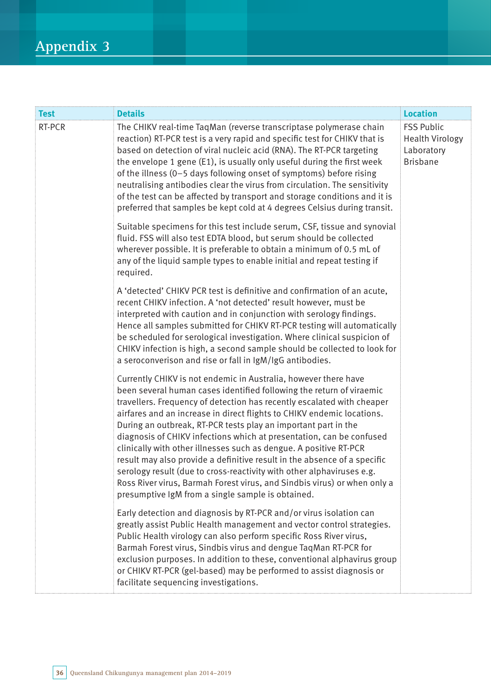# **Appendix 3**

| <b>Test</b> | <b>Details</b>                                                                                                                                                                                                                                                                                                                                                                                                                                                                                                                                                                                                                                                                                                                                                                                   | <b>Location</b>                                                              |
|-------------|--------------------------------------------------------------------------------------------------------------------------------------------------------------------------------------------------------------------------------------------------------------------------------------------------------------------------------------------------------------------------------------------------------------------------------------------------------------------------------------------------------------------------------------------------------------------------------------------------------------------------------------------------------------------------------------------------------------------------------------------------------------------------------------------------|------------------------------------------------------------------------------|
| RT-PCR      | The CHIKV real-time TaqMan (reverse transcriptase polymerase chain<br>reaction) RT-PCR test is a very rapid and specific test for CHIKV that is<br>based on detection of viral nucleic acid (RNA). The RT-PCR targeting<br>the envelope 1 gene (E1), is usually only useful during the first week<br>of the illness (0-5 days following onset of symptoms) before rising<br>neutralising antibodies clear the virus from circulation. The sensitivity<br>of the test can be affected by transport and storage conditions and it is<br>preferred that samples be kept cold at 4 degrees Celsius during transit.                                                                                                                                                                                   | <b>FSS Public</b><br><b>Health Virology</b><br>Laboratory<br><b>Brisbane</b> |
|             | Suitable specimens for this test include serum, CSF, tissue and synovial<br>fluid. FSS will also test EDTA blood, but serum should be collected<br>wherever possible. It is preferable to obtain a minimum of 0.5 mL of<br>any of the liquid sample types to enable initial and repeat testing if<br>required.                                                                                                                                                                                                                                                                                                                                                                                                                                                                                   |                                                                              |
|             | A 'detected' CHIKV PCR test is definitive and confirmation of an acute,<br>recent CHIKV infection. A 'not detected' result however, must be<br>interpreted with caution and in conjunction with serology findings.<br>Hence all samples submitted for CHIKV RT-PCR testing will automatically<br>be scheduled for serological investigation. Where clinical suspicion of<br>CHIKV infection is high, a second sample should be collected to look for<br>a seroconverison and rise or fall in IgM/IgG antibodies.                                                                                                                                                                                                                                                                                 |                                                                              |
|             | Currently CHIKV is not endemic in Australia, however there have<br>been several human cases identified following the return of viraemic<br>travellers. Frequency of detection has recently escalated with cheaper<br>airfares and an increase in direct flights to CHIKV endemic locations.<br>During an outbreak, RT-PCR tests play an important part in the<br>diagnosis of CHIKV infections which at presentation, can be confused<br>clinically with other illnesses such as dengue. A positive RT-PCR<br>result may also provide a definitive result in the absence of a specific<br>serology result (due to cross-reactivity with other alphaviruses e.g.<br>Ross River virus, Barmah Forest virus, and Sindbis virus) or when only a<br>presumptive IgM from a single sample is obtained. |                                                                              |
|             | Early detection and diagnosis by RT-PCR and/or virus isolation can<br>greatly assist Public Health management and vector control strategies.<br>Public Health virology can also perform specific Ross River virus,<br>Barmah Forest virus, Sindbis virus and dengue TaqMan RT-PCR for<br>exclusion purposes. In addition to these, conventional alphavirus group<br>or CHIKV RT-PCR (gel-based) may be performed to assist diagnosis or<br>facilitate sequencing investigations.                                                                                                                                                                                                                                                                                                                 |                                                                              |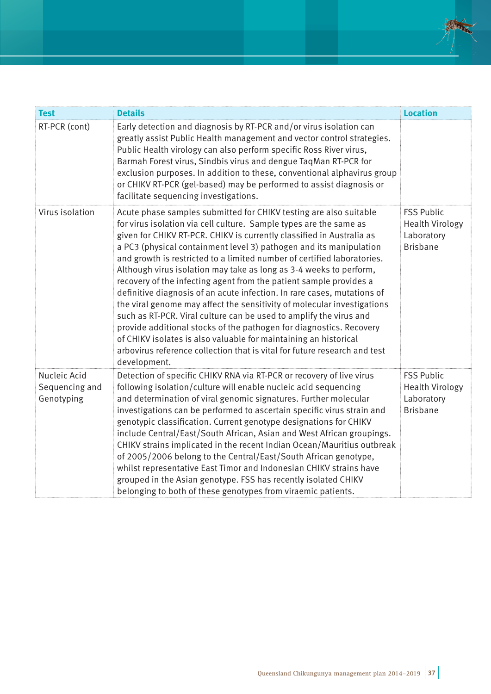| <b>Test</b>                                  | <b>Details</b>                                                                                                                                                                                                                                                                                                                                                                                                                                                                                                                                                                                                                                                                                                                                                                                                                                                                                                                                                                    | <b>Location</b>                                                              |
|----------------------------------------------|-----------------------------------------------------------------------------------------------------------------------------------------------------------------------------------------------------------------------------------------------------------------------------------------------------------------------------------------------------------------------------------------------------------------------------------------------------------------------------------------------------------------------------------------------------------------------------------------------------------------------------------------------------------------------------------------------------------------------------------------------------------------------------------------------------------------------------------------------------------------------------------------------------------------------------------------------------------------------------------|------------------------------------------------------------------------------|
| RT-PCR (cont)                                | Early detection and diagnosis by RT-PCR and/or virus isolation can<br>greatly assist Public Health management and vector control strategies.<br>Public Health virology can also perform specific Ross River virus,<br>Barmah Forest virus, Sindbis virus and dengue TaqMan RT-PCR for<br>exclusion purposes. In addition to these, conventional alphavirus group<br>or CHIKV RT-PCR (gel-based) may be performed to assist diagnosis or<br>facilitate sequencing investigations.                                                                                                                                                                                                                                                                                                                                                                                                                                                                                                  |                                                                              |
| Virus isolation                              | Acute phase samples submitted for CHIKV testing are also suitable<br>for virus isolation via cell culture. Sample types are the same as<br>given for CHIKV RT-PCR. CHIKV is currently classified in Australia as<br>a PC3 (physical containment level 3) pathogen and its manipulation<br>and growth is restricted to a limited number of certified laboratories.<br>Although virus isolation may take as long as 3-4 weeks to perform,<br>recovery of the infecting agent from the patient sample provides a<br>definitive diagnosis of an acute infection. In rare cases, mutations of<br>the viral genome may affect the sensitivity of molecular investigations<br>such as RT-PCR. Viral culture can be used to amplify the virus and<br>provide additional stocks of the pathogen for diagnostics. Recovery<br>of CHIKV isolates is also valuable for maintaining an historical<br>arbovirus reference collection that is vital for future research and test<br>development. | <b>FSS Public</b><br><b>Health Virology</b><br>Laboratory<br><b>Brisbane</b> |
| Nucleic Acid<br>Sequencing and<br>Genotyping | Detection of specific CHIKV RNA via RT-PCR or recovery of live virus<br>following isolation/culture will enable nucleic acid sequencing<br>and determination of viral genomic signatures. Further molecular<br>investigations can be performed to ascertain specific virus strain and<br>genotypic classification. Current genotype designations for CHIKV<br>include Central/East/South African, Asian and West African groupings.<br>CHIKV strains implicated in the recent Indian Ocean/Mauritius outbreak<br>of 2005/2006 belong to the Central/East/South African genotype,<br>whilst representative East Timor and Indonesian CHIKV strains have<br>grouped in the Asian genotype. FSS has recently isolated CHIKV<br>belonging to both of these genotypes from viraemic patients.                                                                                                                                                                                          | <b>FSS Public</b><br><b>Health Virology</b><br>Laboratory<br><b>Brisbane</b> |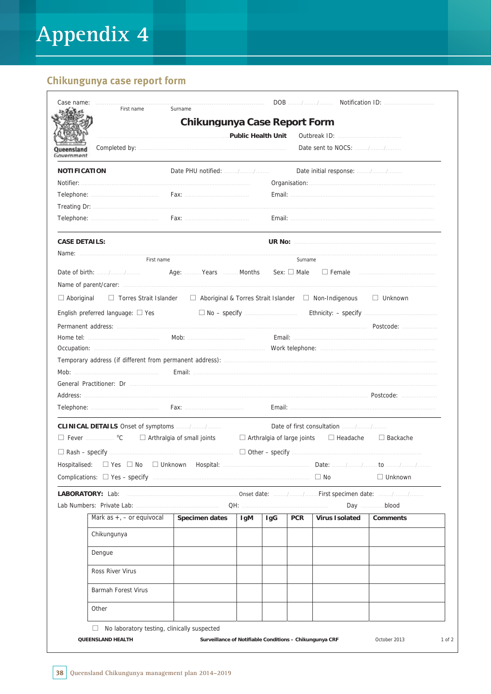# Chikungunya case report form

|                                                                                  | <b>Chikungunya Case Report Form</b>                                                       |     |                                   |            |                               |                                                  |
|----------------------------------------------------------------------------------|-------------------------------------------------------------------------------------------|-----|-----------------------------------|------------|-------------------------------|--------------------------------------------------|
|                                                                                  | Public Health Unit                                                                        |     |                                   |            |                               |                                                  |
| Government                                                                       |                                                                                           |     |                                   |            |                               |                                                  |
| <b>NOTIFICATION</b>                                                              |                                                                                           |     |                                   |            | Date initial response: //     |                                                  |
|                                                                                  |                                                                                           |     |                                   |            |                               |                                                  |
|                                                                                  |                                                                                           |     |                                   |            |                               |                                                  |
|                                                                                  |                                                                                           |     |                                   |            |                               |                                                  |
|                                                                                  |                                                                                           |     |                                   |            |                               |                                                  |
| <b>CASE DETAILS:</b>                                                             |                                                                                           |     |                                   |            |                               |                                                  |
| First name                                                                       |                                                                                           |     |                                   | Surname    |                               |                                                  |
|                                                                                  |                                                                                           |     |                                   |            |                               |                                                  |
|                                                                                  |                                                                                           |     |                                   |            |                               |                                                  |
| $\Box$ Aboriginal                                                                | □ Torres Strait Islander □ Aboriginal & Torres Strait Islander □ Non-Indigenous □ Unknown |     |                                   |            |                               |                                                  |
| English preferred language: $\square$ Yes                                        | $\Box$ No – specify $\Box$                                                                |     |                                   |            |                               | Ethnicity: - specify <b>Ethnicity:</b> - specify |
|                                                                                  |                                                                                           |     |                                   |            |                               |                                                  |
|                                                                                  |                                                                                           |     |                                   |            |                               |                                                  |
|                                                                                  |                                                                                           |     |                                   |            |                               |                                                  |
|                                                                                  |                                                                                           |     |                                   |            |                               |                                                  |
|                                                                                  |                                                                                           |     |                                   |            |                               |                                                  |
|                                                                                  |                                                                                           |     |                                   |            |                               |                                                  |
|                                                                                  |                                                                                           |     |                                   |            |                               |                                                  |
|                                                                                  |                                                                                           |     |                                   |            |                               |                                                  |
|                                                                                  |                                                                                           |     |                                   |            |                               |                                                  |
|                                                                                  |                                                                                           |     |                                   |            | Date of first consultation // |                                                  |
|                                                                                  | $\Box$ Arthralgia of small joints                                                         |     | $\Box$ Arthralgia of large joints |            | $\Box$ Headache               | $\Box$ Backache                                  |
|                                                                                  |                                                                                           |     |                                   |            |                               |                                                  |
|                                                                                  |                                                                                           |     |                                   |            |                               |                                                  |
|                                                                                  |                                                                                           |     |                                   |            | $\Box$ No                     | $\Box$ Unknown                                   |
|                                                                                  |                                                                                           |     |                                   |            |                               |                                                  |
|                                                                                  |                                                                                           |     |                                   |            |                               |                                                  |
| Mark as $+$ , $-$ or equivocal                                                   | Specimen dates                                                                            |     |                                   | <b>PCR</b> | <b>Virus Isolated</b>         | <b>Comments</b>                                  |
| CLINICAL DETAILS Onset of symptoms //<br>$\Box$ Fever $\Box$ °C<br>Hospitalised: |                                                                                           | lgM | IgG                               |            |                               |                                                  |
| Chikungunya                                                                      |                                                                                           |     |                                   |            |                               |                                                  |
| Dengue                                                                           |                                                                                           |     |                                   |            |                               |                                                  |
| Ross River Virus                                                                 |                                                                                           |     |                                   |            |                               |                                                  |
| Barmah Forest Virus                                                              |                                                                                           |     |                                   |            |                               |                                                  |
| Other                                                                            |                                                                                           |     |                                   |            |                               |                                                  |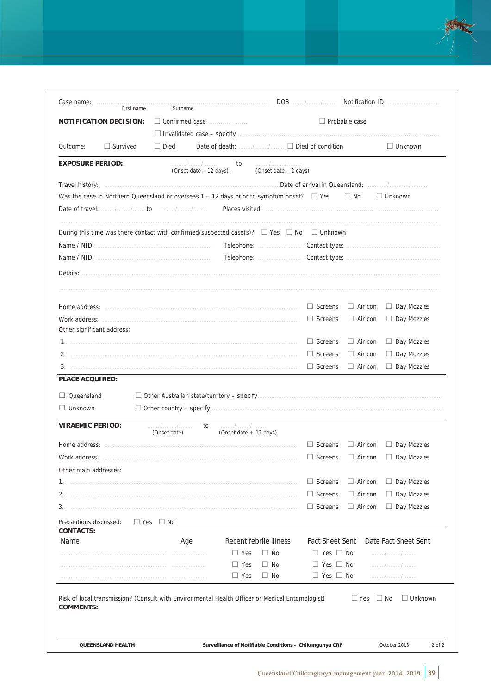

|                                  |                                                |                        | $\Box$ Probable case                                                                                                  |                                                                                                                                                                                                                                                                                                                 |
|----------------------------------|------------------------------------------------|------------------------|-----------------------------------------------------------------------------------------------------------------------|-----------------------------------------------------------------------------------------------------------------------------------------------------------------------------------------------------------------------------------------------------------------------------------------------------------------|
|                                  |                                                |                        |                                                                                                                       |                                                                                                                                                                                                                                                                                                                 |
| $\Box$ Died                      | Date of death: $\Box$ $\Box$ Died of condition |                        |                                                                                                                       | $\Box$ Unknown                                                                                                                                                                                                                                                                                                  |
| . / /<br>(Onset date - 12 days). | to<br>(Onset date - 2 days)                    |                        |                                                                                                                       |                                                                                                                                                                                                                                                                                                                 |
|                                  |                                                |                        |                                                                                                                       |                                                                                                                                                                                                                                                                                                                 |
|                                  |                                                |                        |                                                                                                                       | $\Box$ Unknown                                                                                                                                                                                                                                                                                                  |
|                                  |                                                |                        |                                                                                                                       |                                                                                                                                                                                                                                                                                                                 |
|                                  |                                                |                        |                                                                                                                       |                                                                                                                                                                                                                                                                                                                 |
|                                  |                                                |                        |                                                                                                                       |                                                                                                                                                                                                                                                                                                                 |
|                                  |                                                |                        |                                                                                                                       |                                                                                                                                                                                                                                                                                                                 |
|                                  |                                                |                        |                                                                                                                       |                                                                                                                                                                                                                                                                                                                 |
|                                  |                                                |                        |                                                                                                                       |                                                                                                                                                                                                                                                                                                                 |
|                                  |                                                |                        |                                                                                                                       | $\Box$ Day Mozzies                                                                                                                                                                                                                                                                                              |
|                                  |                                                |                        |                                                                                                                       | $\Box$ Day Mozzies                                                                                                                                                                                                                                                                                              |
|                                  |                                                | $\Box$ Screens         | $\Box$ Air con                                                                                                        | Day Mozzies                                                                                                                                                                                                                                                                                                     |
|                                  |                                                | $\Box$ Screens         | $\Box$ Air con                                                                                                        | $\Box$ Day Mozzies                                                                                                                                                                                                                                                                                              |
|                                  |                                                | $\Box$ Screens         | $\Box$ Air con                                                                                                        | $\Box$ Day Mozzies                                                                                                                                                                                                                                                                                              |
|                                  |                                                |                        |                                                                                                                       |                                                                                                                                                                                                                                                                                                                 |
|                                  |                                                |                        |                                                                                                                       |                                                                                                                                                                                                                                                                                                                 |
|                                  |                                                |                        |                                                                                                                       |                                                                                                                                                                                                                                                                                                                 |
|                                  |                                                |                        |                                                                                                                       |                                                                                                                                                                                                                                                                                                                 |
|                                  |                                                |                        |                                                                                                                       |                                                                                                                                                                                                                                                                                                                 |
| to<br>. / /<br>(Onset date)      | . / /<br>(Onset date + 12 days)                |                        |                                                                                                                       |                                                                                                                                                                                                                                                                                                                 |
|                                  |                                                | $\Box$ Screens         | $\Box$ Air con                                                                                                        | Day Mozzies                                                                                                                                                                                                                                                                                                     |
|                                  |                                                |                        |                                                                                                                       | $\Box$ Screens $\Box$ Air con $\Box$ Day Mozzies                                                                                                                                                                                                                                                                |
|                                  |                                                |                        |                                                                                                                       |                                                                                                                                                                                                                                                                                                                 |
|                                  |                                                | $\Box$ Screens         | $\Box$ Air con                                                                                                        | $\Box$ Day Mozzies                                                                                                                                                                                                                                                                                              |
|                                  |                                                | $\Box$ Screens         | $\Box$ Air con                                                                                                        | $\Box$ Day Mozzies                                                                                                                                                                                                                                                                                              |
|                                  |                                                | $\Box$ Screens         | $\Box$ Air con                                                                                                        | $\Box$ Day Mozzies                                                                                                                                                                                                                                                                                              |
| $\Box$ No<br>$\Box$ Yes          |                                                |                        |                                                                                                                       |                                                                                                                                                                                                                                                                                                                 |
| Age                              | Recent febrile illness                         | <b>Fact Sheet Sent</b> |                                                                                                                       | Date Fact Sheet Sent                                                                                                                                                                                                                                                                                            |
|                                  | $\Box$ Yes<br>$\Box$ No                        | $\Box$ Yes $\Box$ No   |                                                                                                                       | . / /                                                                                                                                                                                                                                                                                                           |
|                                  | $\Box$ No<br>$\Box$ Yes                        | $\Box$ Yes $\Box$ No   |                                                                                                                       | . / /                                                                                                                                                                                                                                                                                                           |
|                                  |                                                |                        | $\Box$ Screens<br>$\Box$ Screens<br>Work address: www.communication.com/www.communication.com/www.com/www.com/www.com | Was the case in Northern Queensland or overseas $1 - 12$ days prior to symptom onset? $\Box$ Yes $\Box$ No<br>During this time was there contact with confirmed/suspected case(s)? $\Box$ Yes $\Box$ No $\Box$ Unknown<br>Telephone: Contact type: Telephone: Contact type:<br>$\Box$ Air con<br>$\Box$ Air con |